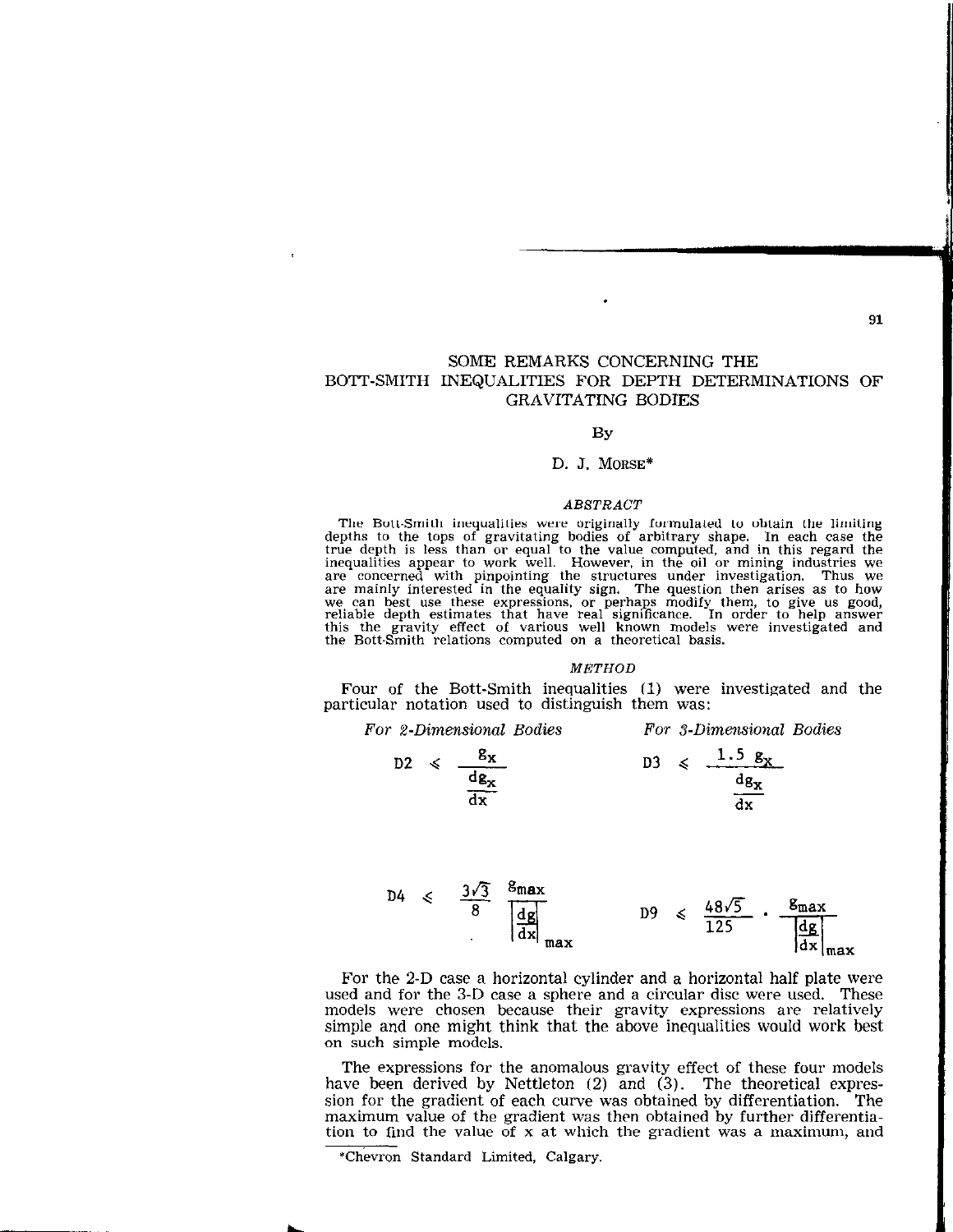91

## SOME REMARKS CONCERNING THE BOTT-SMITH INEQUALITIES FOR DEPTH DETERMINATIONS OF GRAVITATING BODIES

#### BY

#### D. J. MORSE\*

#### ABSTRACT

The Bott-Smith inequalities were originally formulated to obtain the limiting depths to the tops of gravitating bodies of arbitrary shape. In each case the true depth is less than or equal to the value computed, and in this regard the inequalities appear to work well. However, in the oil or mining i we can best use these expressions, or perhaps modify them, to give us good,<br>reliable depth estimates that have real significance. In order to help answer the Bott-Smith relations computed on a theoretical basis.

### **METHOD**

Four of the Bott-Smith inequalities (1) were investigated and the particular notation used to distinguish them was:

| For 2-Dimensional Bodies         | For 3-Dimensional Bodies                                   |  |  |  |
|----------------------------------|------------------------------------------------------------|--|--|--|
| $D2 \leq \frac{g_X}{dg_X}$<br>dx | $p_3 \leq 1.5 g_x$<br>$dg_{\mathbf{x}}$<br>$\overline{dx}$ |  |  |  |
|                                  |                                                            |  |  |  |

$$
D4 \leq \frac{3\sqrt{3}}{8} \frac{\text{g}_{\text{max}}}{\left|\frac{dg}{dx}\right|} \qquad D9 \leq \frac{48\sqrt{5}}{125} \cdot \frac{\text{g}_{\text{max}}}{\left|\frac{dg}{dx}\right|}
$$

For the 2-D case a horizontal cylinder and a horizontal half plate were used and for the 3-D case a sphere and a circular disc were used. These models were chosen because their gravity expressions are relatively simple and one might think that the above inequalities would work best on such simple models.

The expressions for the anomalous gravity effect of these four models have been derived by Nettleton (2) and (3). The theoretical expression for the gradient of each curve was obtained by differentiation. The maximum value of the gradient was then obtained by further differentiation to find the value of x at which the gradient was a maximum, and

<sup>\*</sup>Chevron Standard Limited, Calgary.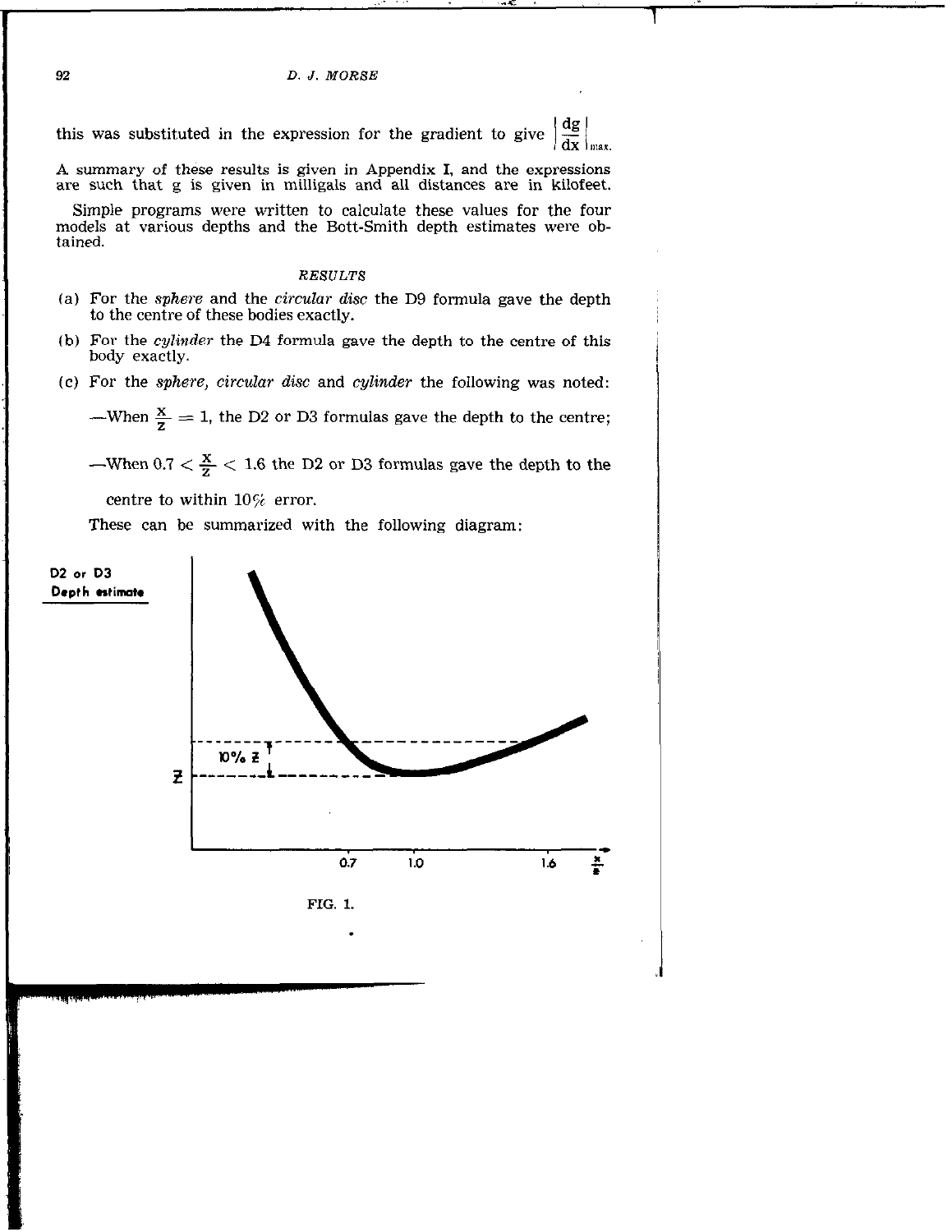$\frac{dg}{dx}$ this was substituted in the expression for the gradient to give

A summary of these results is given in Appendix I, and the expressions are such that g is given in milligals and all distances are in kilofeet.

Simple programs were written to calculate these values for the four models at various depths and the Bott-Smith depth estimates were obtained.

#### RESULTS

- (a) For the sphere and the circular disc the D9 formula gave the depth to the centre of these bodies exactly.
- (b) For the cylinder the D4 formula gave the depth to the centre of this body exactly.
- (c) For the sphere, circular disc and cylinder the following was noted:

-When  $\frac{x}{7} = 1$ , the D2 or D3 formulas gave the depth to the centre;

-When  $0.7 < \frac{x}{2} < 1.6$  the D2 or D3 formulas gave the depth to the

centre to within  $10\%$  error.

These can be summarized with the following diagram:

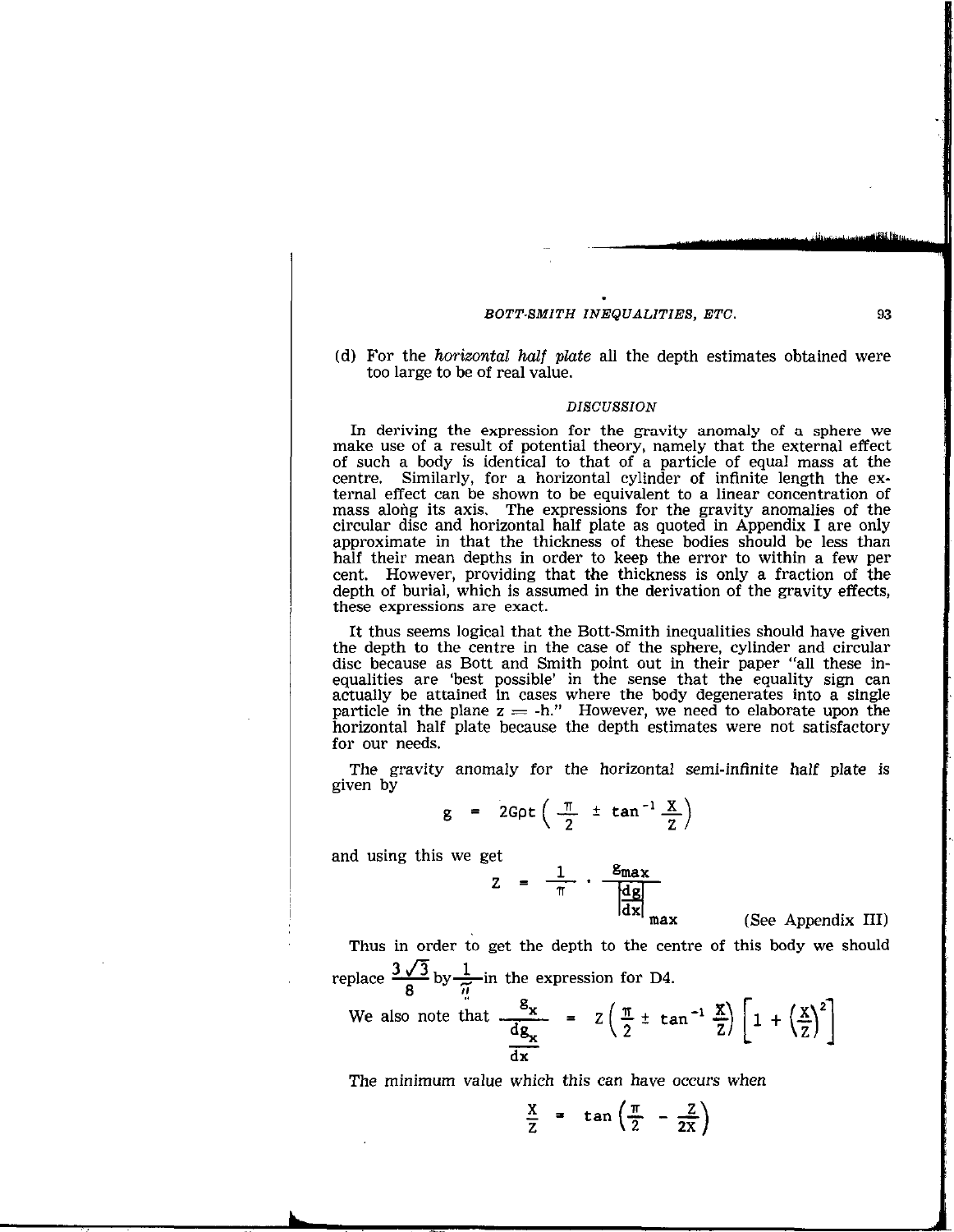(d) For the *horizontal half plate* all the depth estimates obtained were too large to be of real value.

#### DISCUSSION

In deriving the expression for the gravity anomaly of a sphere we make use of a result of potential theory, namely that the external effect of such a body is identical to that of a particle of equal mass at the centre. Similarly, for a horizontal cylinder of infinite length the external effect can be shown to be equivalent to a linear concentration of mass along its axis. The expressions for the gravity anomalies of the circular disc and horizontal half plate as quoted in Appendix I are only approximate in that the thickness of these bodies should be less than half their mean depths in order to keep the error to within a few per cent. However, providing that the thickness is only a fraction of the depth of burial, which is assumed in the derivation of the gravity effects, these expressions are exact.

It thus seems logical that the Bott-Smith inequalities should have given the depth to the centre in the case of the sphere, cylinder and circular disc because as Bott and Smith point out in their paper "all these inequalities are 'best possible' in the sense that the equality sign can actually be attained in cases where the body degenerates into a single particle in the plane  $z = -h$ ." However, we need to elaborate upon the horizontal half plate because the depth estimates were not satisfactory for our needs.

The gravity anomaly for the horizontal semi-infinite half plate is given by

$$
g = 2G \rho t \left( \frac{\pi}{2} \pm \tan^{-1} \frac{X}{Z} \right)
$$

and using this we get

$$
Z = \frac{1}{\pi} \cdot \frac{g_{\text{max}}}{\left|\frac{dg}{dx}\right|_{\text{max}}}
$$

max (See Appendix III)

Thus in order to get the depth to the centre of this body we should replace  $\frac{3\sqrt{3}}{8}$  by  $\frac{1}{\widetilde{n}}$  in the expression for D4.

We also note that 
$$
\frac{g_x}{\frac{dg_x}{dx}} = Z\left(\frac{\pi}{2} \pm \tan^{-1} \frac{x}{Z}\right) \left[1 + \left(\frac{x}{Z}\right)^2\right]
$$

The minimum value which this can have occurs when

$$
\frac{X}{Z} = \tan\left(\frac{\pi}{2} - \frac{Z}{2X}\right)
$$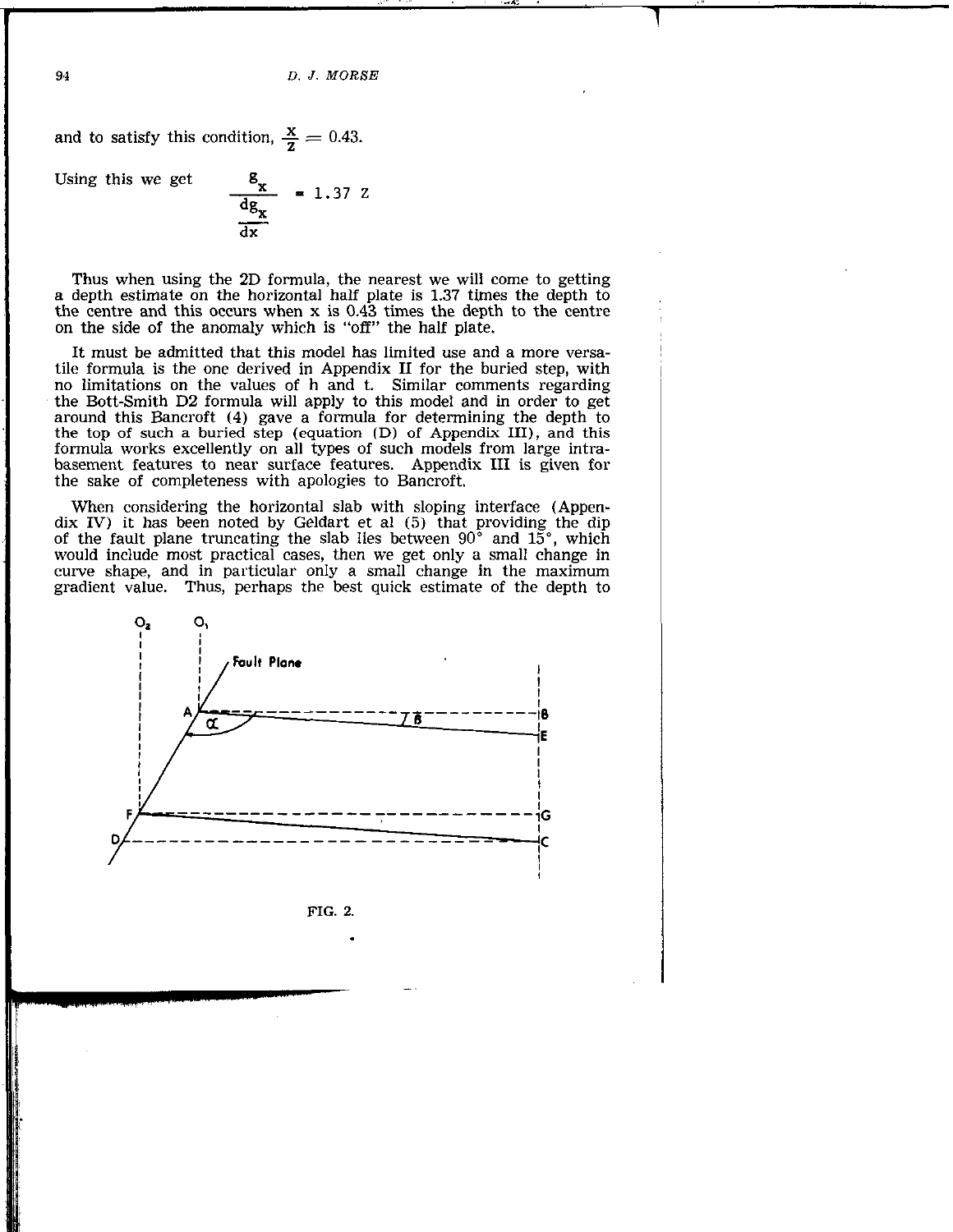and to satisfy this condition,  $\frac{\mathbf{x}}{7} = 0.43$ .

Using this we get

$$
\frac{8_x}{\frac{dg_x}{dx}} = 1.37 Z
$$

Thus when using the 2D formula, the nearest we will come to getting a depth estimate on the horizontal half plate is 1.37 times the depth to the centre and this occurs when x is 0.43 times the depth to the centre on the side of the anomaly which is "off" the half plate.

It must be admitted that this model has limited use and a more versatile formula is the one derived in Appendix II for the buried step, with no limitations on the values of h and t. Similar comments regarding the Bott-Smith D2 formula will apply to this model and in order to get around this Bancroft (4) gave a formula for determining the depth to the top of such a buried step (equation CD) of Appendix III), and this formula works excellently on all types of such models from large intrabasement features to near surface features. Appendix III is given for the sake of completeness with apologies to Bancroft.

When considering the horizontal slab with sloping interface (Appendix IV) it has been noted by Geldart et al (5) that providing the dip of the fault plane truncating the slab lies between  $90^{\circ}$  and  $15^{\circ}$ , which would include most practical cases, then we get only a small change in curve shape, and in particular only a small change in the maximum gradient value. Thus, perhaps the best quick estimate of the depth to



FIG. 2.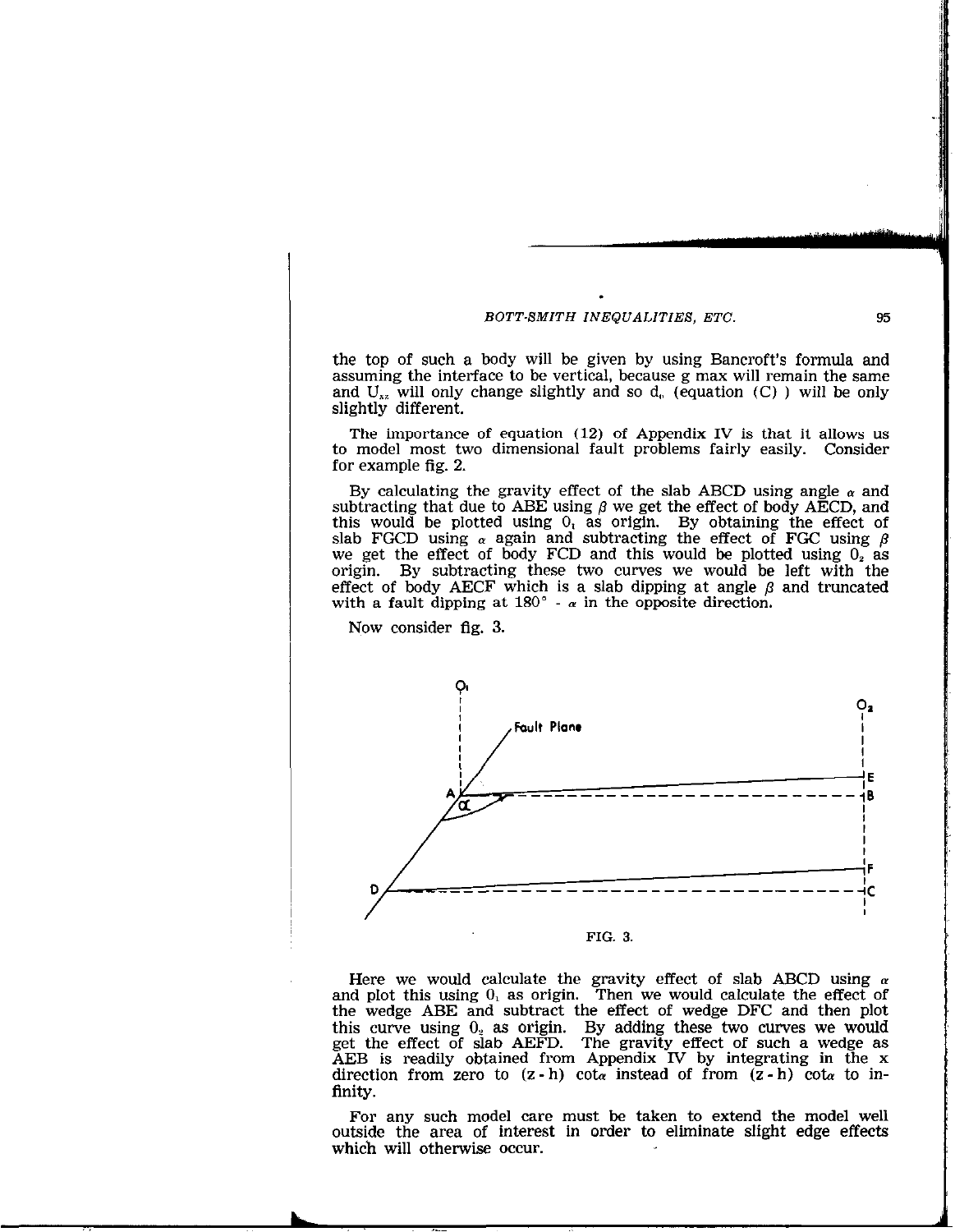the top of such a body will be given by using Bancroft's formula and assuming the interface to be vertical, because g max will remain the same and  $U_{xx}$  will only change slightly and so  $d_{0}$  (equation (C)) will be only slightly different.

The importance of equation (12) of Appendix IV is that it allows us to model most two dimensional fault problems fairly easily. Consider for example fig. 2.

By calculating the gravity effect of the slab ABCD using angle  $\alpha$  and subtracting that due to ABE using  $\beta$  we get the effect of body AECD, and this would be plotted using  $0<sub>i</sub>$  as origin. By obtaining the effect of slab FGCD using  $\alpha$  again and subtracting the effect of FGC using  $\beta$ we get the effect of body FCD and this would be plotted using  $0<sub>2</sub>$  as origin. By subtracting these two curves we would be left with the effect of body AECF which is a slab dipping at angle  $\beta$  and truncated with a fault dipping at  $180^\circ$  -  $\alpha$  in the opposite direction.

Now consider fig. 3.



Here we would calculate the gravity effect of slab ABCD using  $\alpha$ and plot this using  $0<sub>1</sub>$  as origin. Then we would calculate the effect of the wedge ABE and subtract the effect of wedge DFC and then plot this curve using  $0<sub>2</sub>$  as origin. By adding these two curves we would get the effect of slab AEFD. The gravity effect of such a wedge as AEB is readily obtained from Appendix IV by integrating in the x direction from zero to  $(z-h)$  cot<sub>α</sub> instead of from  $(z-h)$  cot<sub>α</sub> to infinity.

For any such model care must be taken to extend the model well outside the area of interest in order to eliminate slight edge effects which will otherwise occur.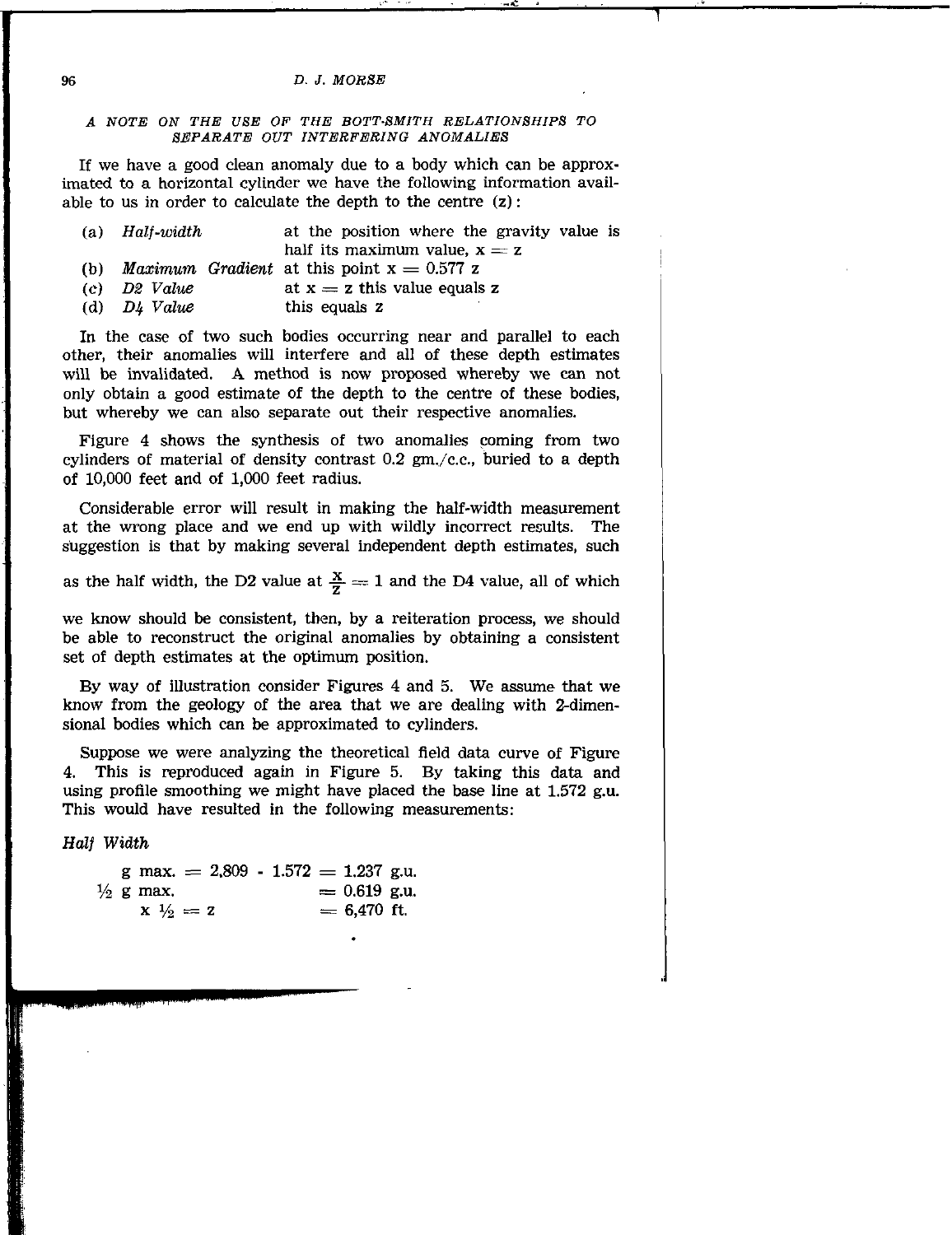### A NOTE ON THE USE OF THE BOTT-BMITH RELATIONSHIPS TO BEPARATE OUT INTERFERING ANOMALIES

If we have a good clean anomaly due to a body which can be approximated to a horizontal cylinder we have the following information available to us in order to calculate the depth to the centre  $(z)$ :

| (a) $Half-width$ | at the position where the gravity value is              |  |  |  |  |  |
|------------------|---------------------------------------------------------|--|--|--|--|--|
|                  | half its maximum value, $x = z$                         |  |  |  |  |  |
|                  | (b) <i>Maximum Gradient</i> at this point $x = 0.577$ z |  |  |  |  |  |
| $(c)$ D2 Value   | at $x = z$ this value equals z                          |  |  |  |  |  |
| (d) $D4$ Value   | this equals z                                           |  |  |  |  |  |

In the case of two such bodies occurring near and parallel to each other, their anomalies will interfere and all of these depth estimates will be invalidated. A method is now proposed whereby we can not only obtain a good estimate of the depth to the centre of these bodies, but whereby we can also separate out their respective anomalies.

Figure 4 shows the synthesis of two anomalies coming from two cylinders of material of density contrast  $0.2$  gm./c.c., buried to a depth of 10,000 feet and of 1,000 feet radius.

Considerable error will result in making the half-width measurement at the wrong place and we end up with wildly incorrect results. The suggestion is that by making several independent depth estimates, such

as the half width, the D2 value at  $\frac{x}{7} = 1$  and the D4 value, all of which

we know should be consistent, then, by a reiteration process, we should be able to reconstruct the original anomalies by obtaining a consistent set of depth estimates at the optimum position.

By way of illustration consider Figures 4 and 5. We assume that we know from the geology of the area that we are dealing with 2-dimensional bodies which can be approximated to cylinders.

Suppose we were analyzing the theoretical field data curve of Figure 4. This is reproduced again in Figure 5. By taking this data and using profile smoothing we might have placed the base line at  $1.572$  g.u. This would have resulted in the following measurements:

Half Width

|  |                      | g max. $= 2,809 - 1.572 = 1.237$ g.u. |  |                |  |
|--|----------------------|---------------------------------------|--|----------------|--|
|  | $\frac{1}{2}$ g max. |                                       |  | $= 0.619$ g.u. |  |
|  | $x \frac{1}{2} = z$  |                                       |  | $= 6.470$ ft.  |  |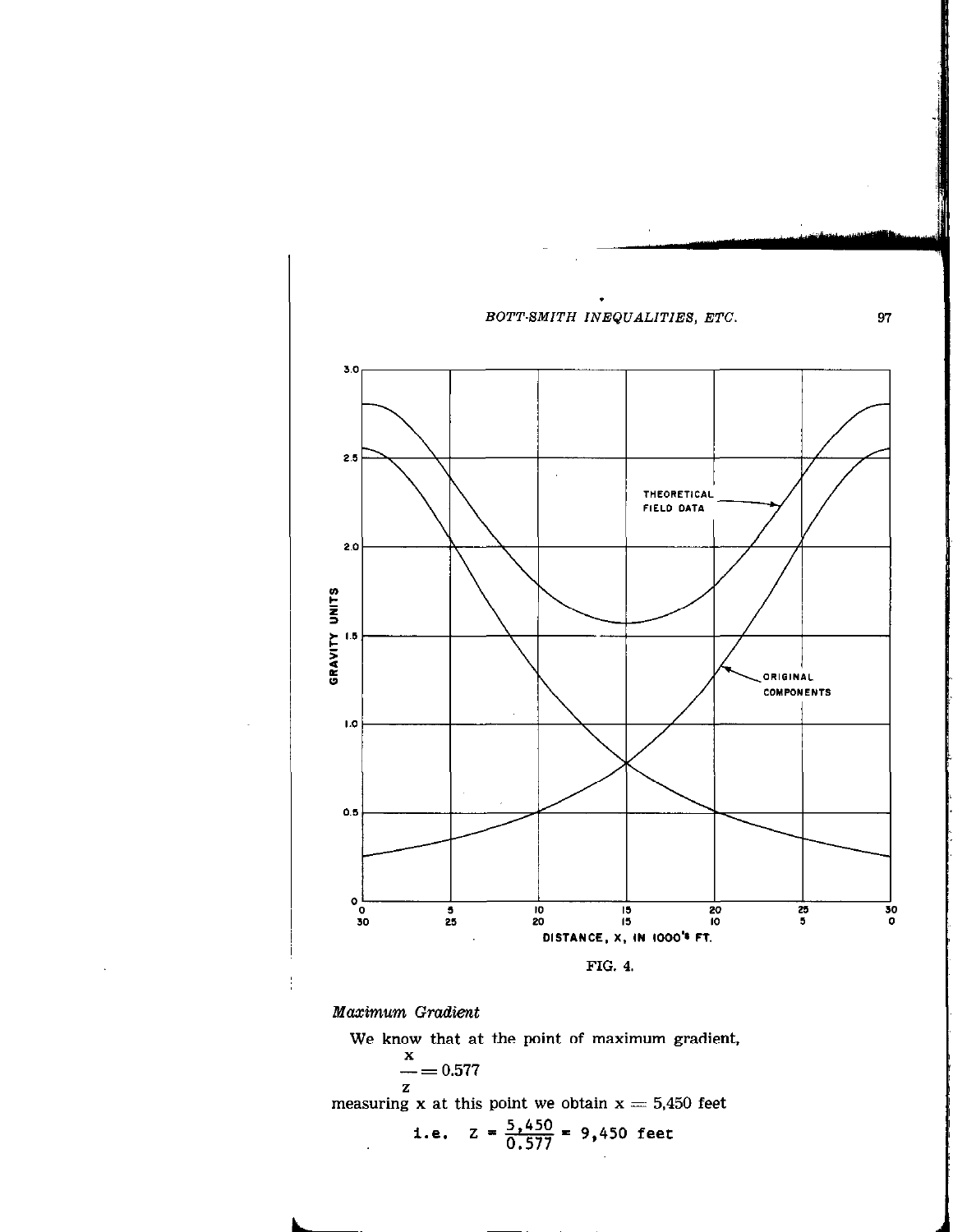

Maximum Gradient

 $\ddot{\phantom{a}}$ 

We know that at the point of maximum gradient,

 $\sim 1$ 

$$
\frac{x}{z} = 0.577
$$
  
measuring x at this point we obtain x = 5,450 feet  
i.e.  $z = \frac{5,450}{0.577} = 9,450$  feet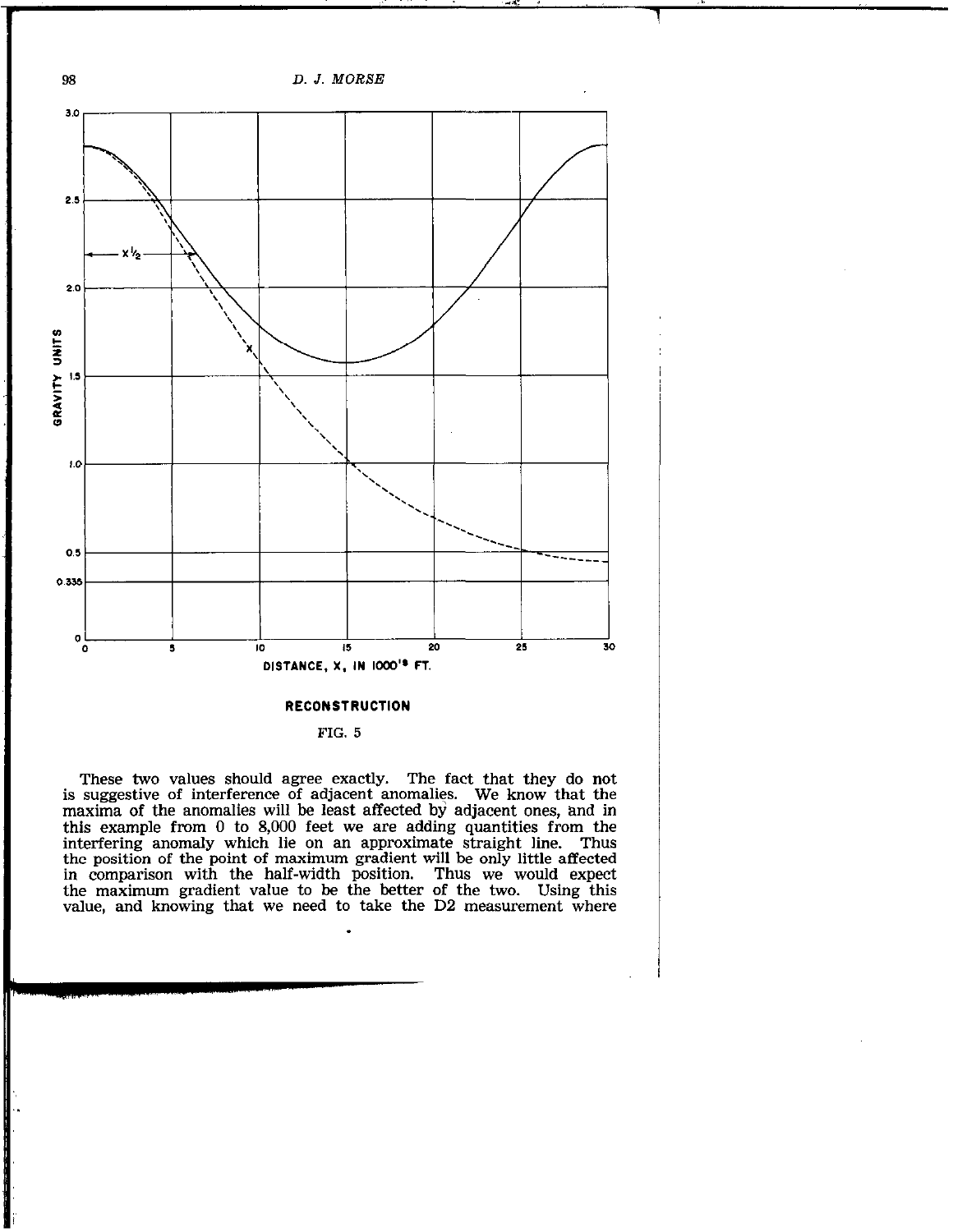

## **RECONSTRUCTION**

FIG. 5

These two values should agree exactly. The fact that they do not is suggestive of interference of adjacent anomalies. We know that the maxima of the anomalies will be least affected by adjacent ones, and in this example from 0 to 8,000 feet we are adding quantities from the interfering anomaly which lie on an approximate straight line. Thus the position of the point of maximum gradient will be only little affected in comparison with the half-width position. Thus we would expect the maximum gradient value to be the better of the two. Using this value, and knowing that we need to take the D2 measurement where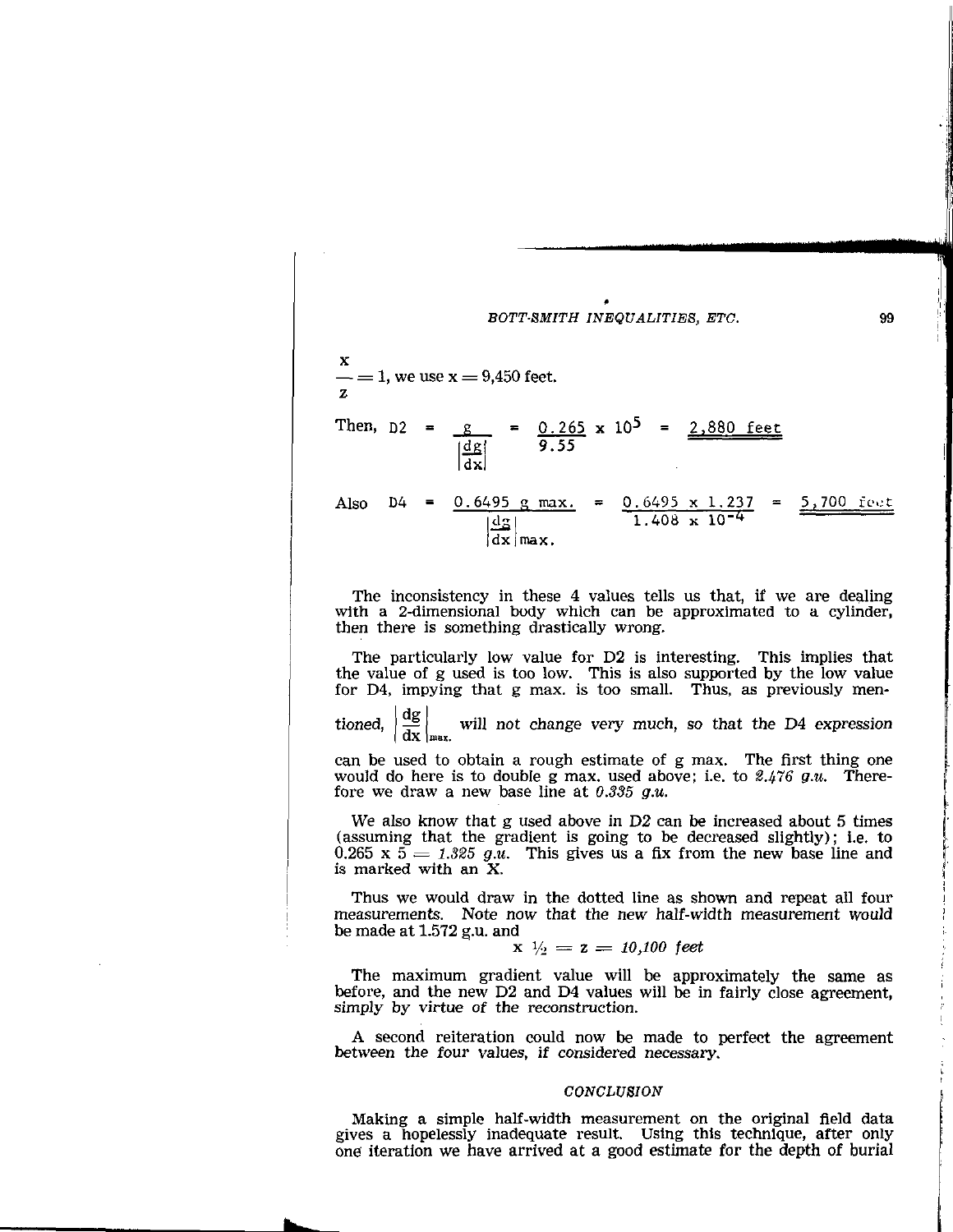

The inconsistency in these 4 values tells us that, if we are dealing with a 2-dimensional body which can be approximated to a cylinder, then there is something drastically wrong.

The particularly low value for D2 is interesting. This implies that the value of g used is too low. This is also supported by the low value for D4, impying that g max. is too small. Thus, as previously men-

tioned,  $\overline{dx}$   $\vert_{\text{max.}}$ will not change very much, so that the D4 expression

can be used to obtain a rough estimate of g max. The first thing one would do here is to double g max. used above; i.e. to  $\mathscr{L}_4$  476 g.u. Therefore we draw a new base line at  $0.335$  g.u.

We also know that g used above in D2 can be increased about 5 times (assuming that the gradient is going to be decreased slightly); i.e. to 0.265 x  $5 = 1.325$  g.u. This gives us a fix from the new base line and is marked with an X.

Thus we would draw in the dotted line as shown and repeat all four measurements. Note now that the new half-width measurement would be made at 1.572 g.u. and

$$
x \, \sqrt{1/2} = z = 10,100 \, \text{ feet}
$$

The maximum gradient value will be approximately the same as before, and the new D2 and D4 values will be in fairly close agreement, simply by virtue of the reconstruction.

A second reiteration could now be made to perfect the agreement between the four values, if considered necessary.

#### **CONCLUSION**

Making a simple half-width measurement on the original field data gives a hopelessly inadequate result. Using this technique, after only one iteration we have arrived at a good estimate for the depth of burial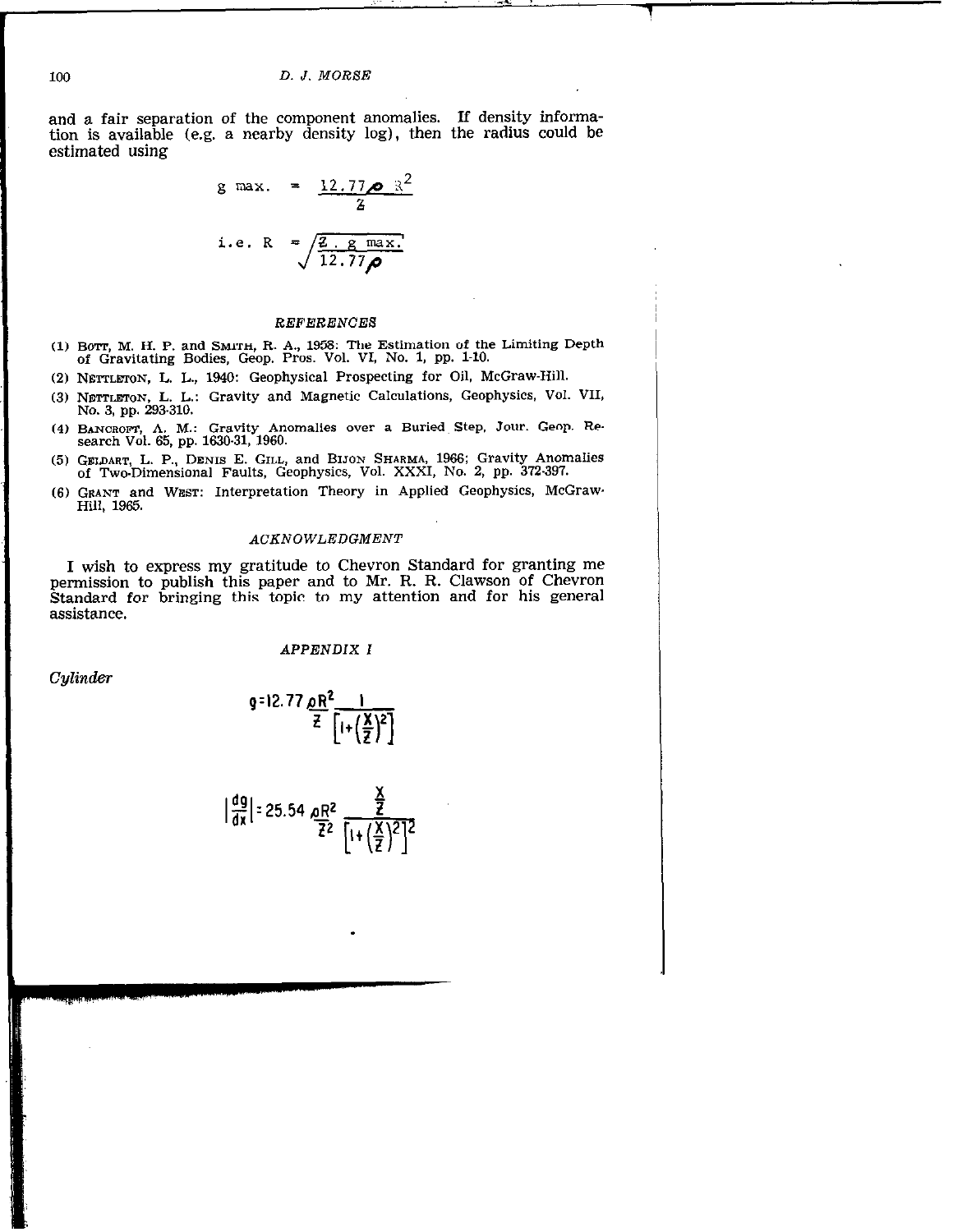and a fair separation of the component anomalies. If density information is available (e.g. a nearby density log), then the radius could be estimated using

g max. = 
$$
\frac{12.77 \times 12^{2}}{2}
$$
  
i.e. R =  $\sqrt{\frac{2. g \text{ max.}}{12.77 \times 12}}$ 

### REFERENCES

- (1) Barr, M. H. P. and Sharni, R. A., 1958: The Estimation of the Limiting Depth of Gravitating Bodies, Geop. Pros. Vol. VI, No. 1, pp. l-10.
- (2) NETPLETON, L. L., 1940: Geophysical Prospecting for Oil, McGraw-Hill.
- (3) NETTLETON, L. L.: Gravity and Magnetic Calculations, Geophysics, Vol. VII, No. 3, pp. 293-310.
- (4) BANCROFT, A. M.: Gravity Anomalies over a Buried Step, Jour. Geop. Re-<br>search Vol. 65, pp. 1630-31, 1960.
- (5) GELDART, L. P., DENIS E. GILL, and BIJON SHARMA, 1966; Gravity Anomalies of Two.Dimensional Faults, Geophysics, Vol. XXXI, No. 2, pp. 372397.
- (6) GRANT and WEST: Interpretation Theory in Applied Geophysics, McGraw. Hill, 1965.

#### ACKNOWLEDGMENT

I wish to express my gratitude to Chevron Standard for granting me permission to publish this paper and to Mr. R. R. Clawson of Chevron Standard for bringing this topic to my attention and for his general assistance.

APPENDIX I

Cylinder

g=12.77 <u>on = \_\_\_</u>  $\overline{z}$   $\left[1+\left(\frac{\overline{X}}{2}\right)^2\right]$ 

$$
\left|\frac{dg}{dx}\right| = 25.54 \frac{\text{pR}^2}{\frac{7}{2}} \frac{\frac{X}{2}}{\left[1 + \left(\frac{X}{2}\right)^2\right]^2}
$$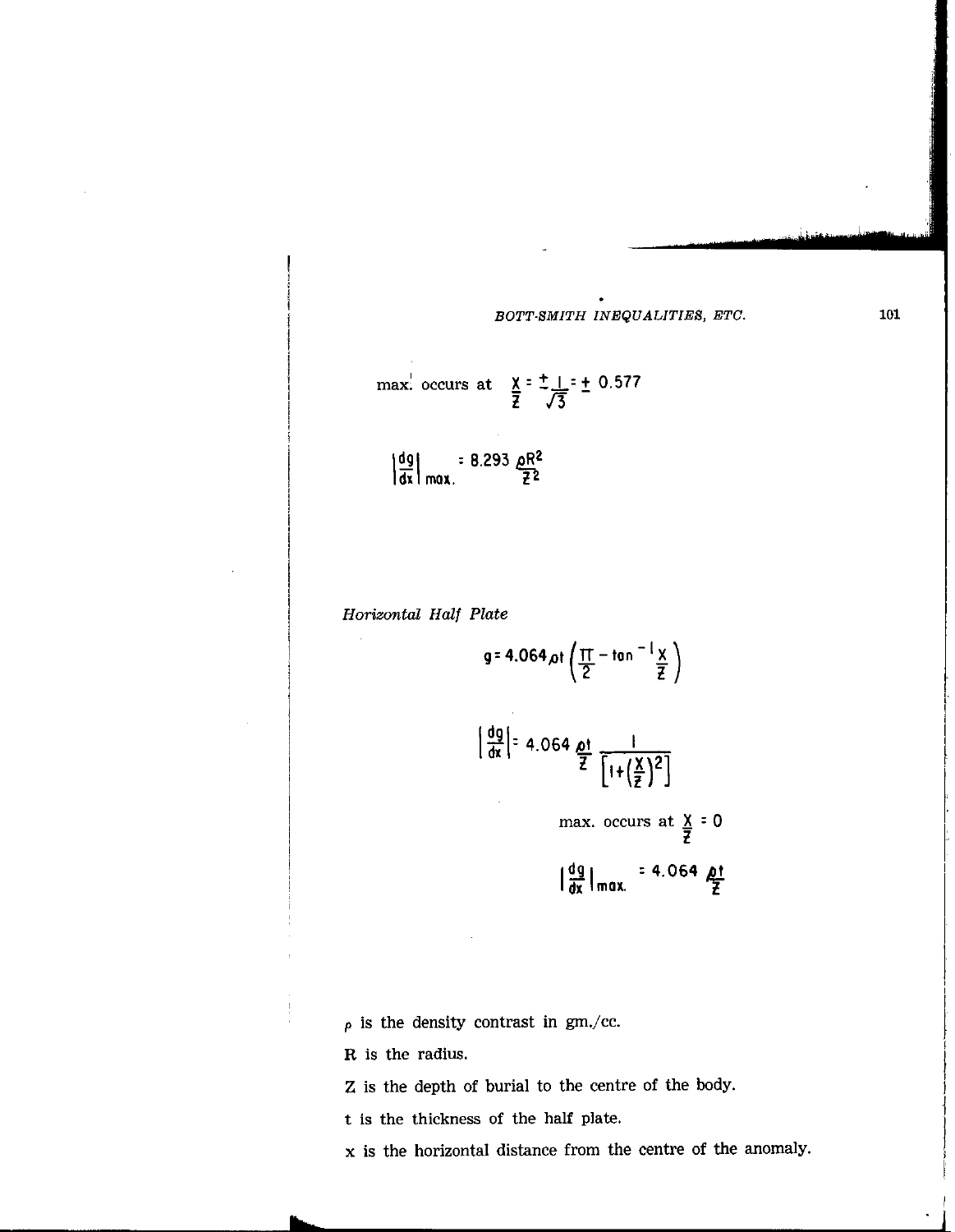.

max: occurs at 
$$
\frac{x}{z} = \frac{1}{\sqrt{3}} = \frac{1}{2}
$$
 0.577

$$
\left|\frac{dg}{dx}\right|_{max.} = 8.293 \frac{\rho R^2}{\tilde{z}^2}
$$

Horizontal Half Plate

$$
g = 4.064 \text{ pt} \left( \frac{\pi}{2} - \tan^{-1} \frac{x}{z} \right)
$$

$$
\frac{dg}{dx} = 4.064 \frac{dt}{Z} \frac{1}{[1+(\frac{X}{Z})^2]}
$$

max. occurs at  $X = 0$ t

$$
\left|\frac{dg}{dx}\right|_{\text{max.}} = 4.064 \frac{\rho t}{Z}
$$

 $\rho$  is the density contrast in gm./cc.

R is the radius.

Z is the depth of burial to the centre of the body.

t is the thickness of the half plate.

x is the horizontal distance from the centre of the anomaly.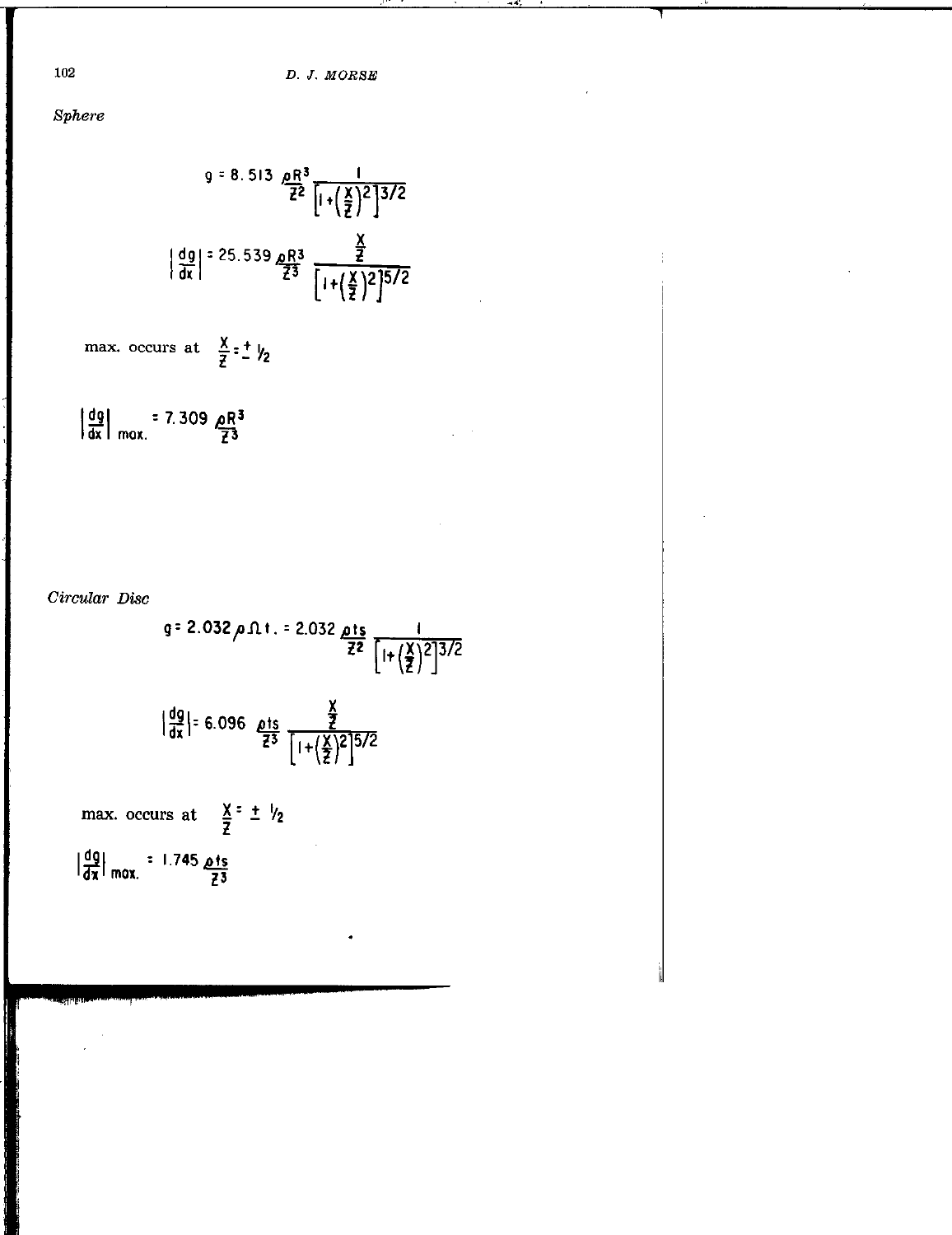$Sphere$ 

$$
9 = 8.513 \underbrace{\frac{0}{2^{2}}} \frac{1}{\left[1 + \left(\frac{x}{2}\right)^{2}\right]^{3/2}}
$$
\n
$$
\left|\frac{dg}{dx}\right| = 25.539 \underbrace{\frac{0}{2}R^{3}}_{Z^{3}} \underbrace{\frac{\frac{x}{2}}{\left[1 + \left(\frac{x}{2}\right)^{2}\right]^{5/2}}}
$$

max. occurs at 
$$
\frac{x}{z} = \frac{1}{z}
$$

$$
\left|\frac{dg}{dx}\right|
$$
 = 7.309  $\frac{QR^3}{Z^3}$ 

Circular Disc

$$
g = 2.032 \rho \Omega t. = 2.032 \frac{\rho t s}{\bar{z}^2} \frac{1}{\left[1 + \left(\frac{x}{\bar{z}}\right)^2\right]^{3/2}}
$$
  

$$
\left|\frac{dg}{dx}\right| = 6.096 \frac{\rho t s}{\bar{z}^3} \frac{\frac{x}{\bar{z}}}{\left[1 + \left(\frac{x}{\bar{z}}\right)^2\right]^{5/2}}
$$
  
max. occurs at  $\frac{x}{\bar{z}} = \pm \frac{1}{2}$ 

.

 $\frac{1}{2}$  $\frac{1}{2}$  mox.  $\frac{1}{2}$ <u>م</u> 1.745 :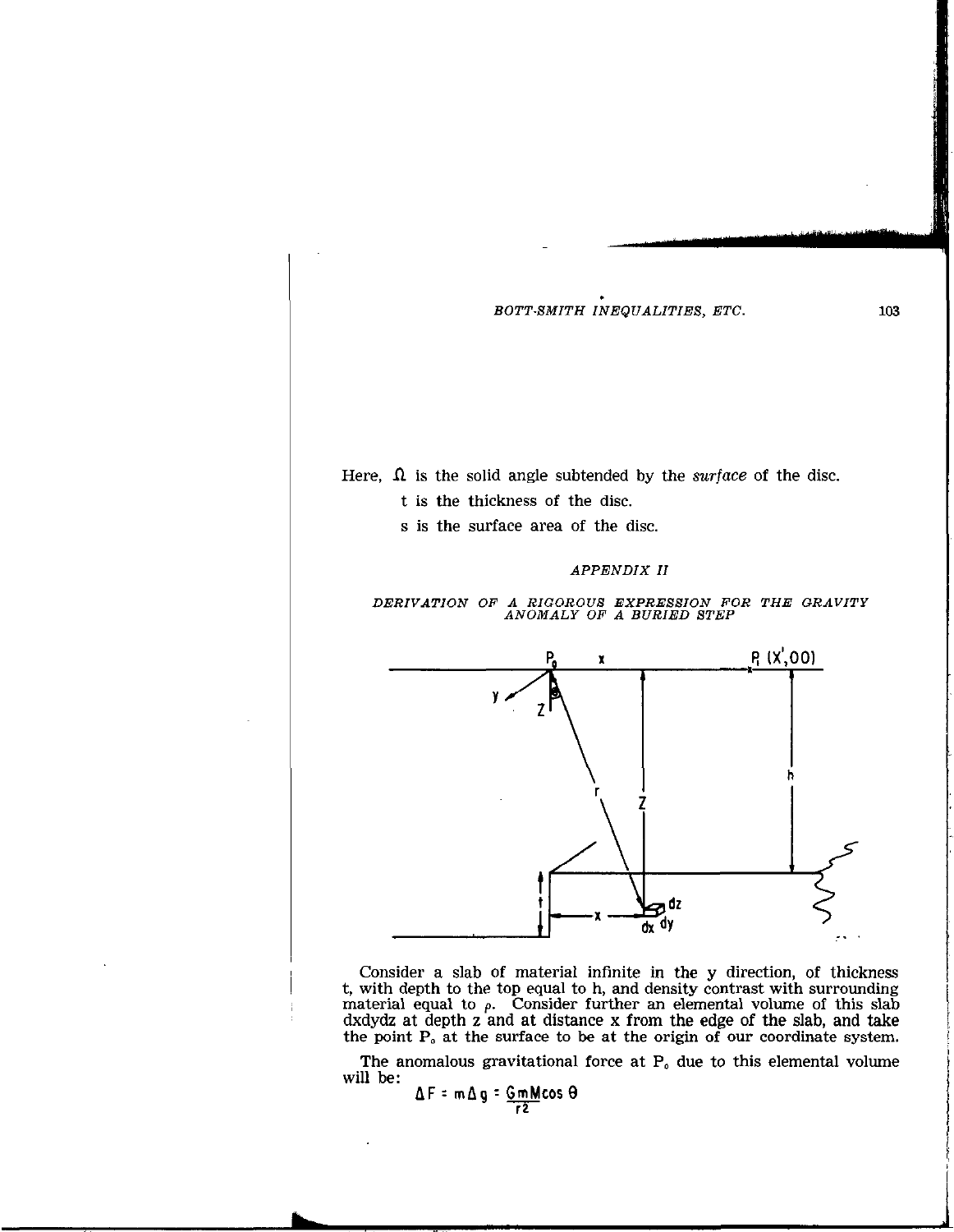

Consider a slab of material infinite in the y direction, of thickness t, with depth to the top equal to h, and density contrast with surrounding material equal to  $\rho$ . Consider further an elemental volume of this slab dxdydz at depth z and at distance x from the edge of the slab, and take the point  $P<sub>o</sub>$  at the surface to be at the origin of our coordinate system.

The anomalous gravitational force at  $P_0$  due to this elemental volume will be:

 $\Delta F$  = m $\Delta g$  =  $\frac{Gm}{r^2}$  cos  $\Theta$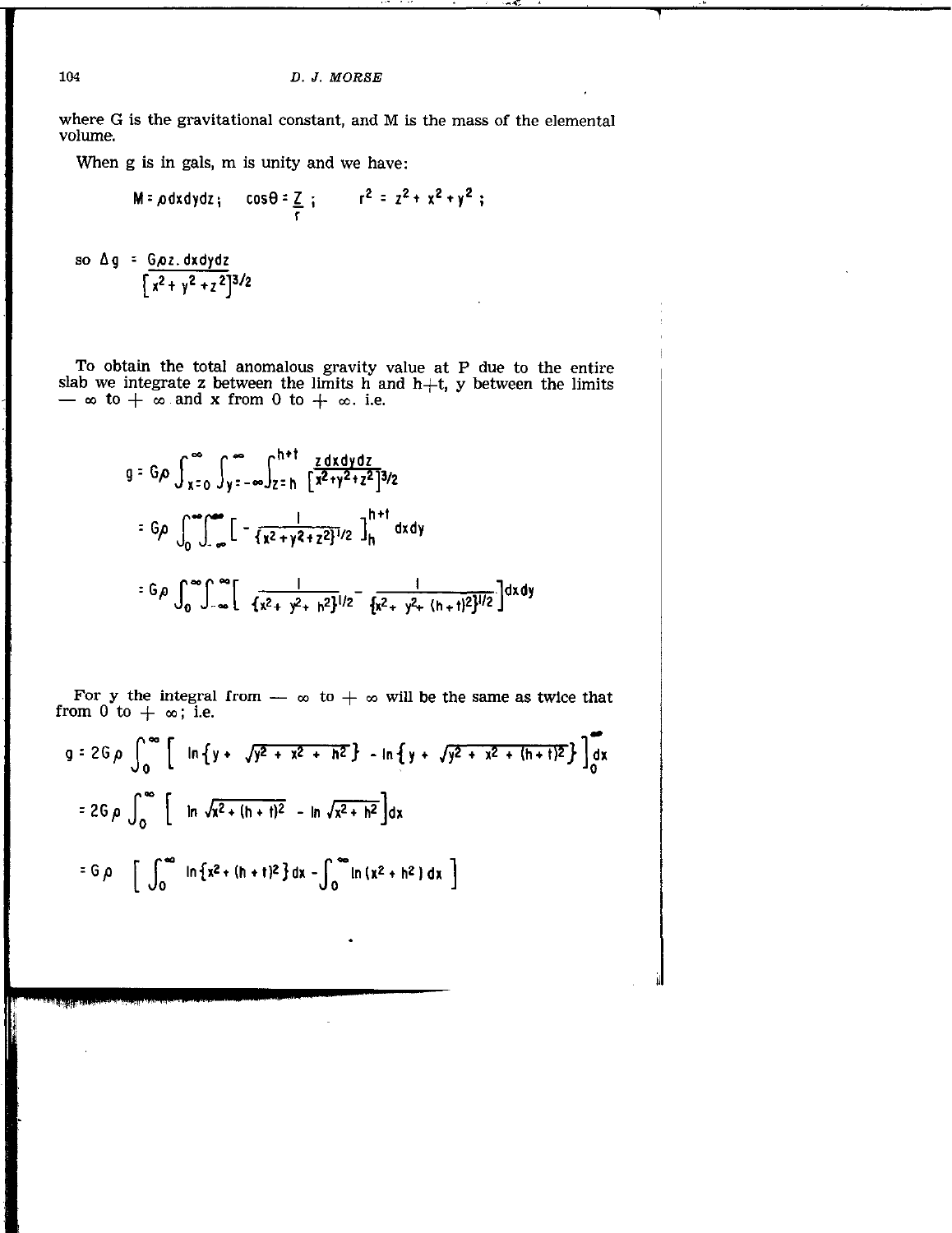where G is the gravitational constant, and M is the mass of the elemental volume.

When g is in gals, m is unity and we have:

$$
M = \rho dx dy dz_{\mathfrak{f}} \qquad \cos \theta = \frac{z}{r} \qquad \qquad r^2 = z^2 + x^2 + y^2 \qquad \text{if}
$$

so 
$$
\Delta g = \frac{G\rho z. dx dy dz}{[x^2 + y^2 + z^2]^{3/2}}
$$

To obtain the total anomalous gravity value at P due to the entire<br>slab we integrate z between the limits h and h+t, y between the limits<br> $-\infty$  to  $+\infty$  and x from 0 to  $+\infty$ . i.e.

$$
g = G \rho \int_{x=0}^{\infty} \int_{y=-\infty}^{\infty} \int_{z=h}^{h+t} \frac{z \, dx \, dy \, dz}{[x^2 + y^2 + z^2]^{3/2}}
$$
  

$$
= G \rho \int_{0}^{\infty} \int_{-\infty}^{\infty} \left[ -\frac{1}{\{x^2 + y^2 + z^2\}^{1/2}} \right]_{h}^{h+t} dxdy
$$
  

$$
= G \rho \int_{0}^{\infty} \int_{-\infty}^{\infty} \left[ \frac{1}{\{x^2 + y^2 + h^2\}^{1/2}} - \frac{1}{\{x^2 + y^2 + (h+t)^2\}^{1/2}} \right] dx \, dy
$$

For y the integral from  $-\infty$  to  $+\infty$  will be the same as twice that from 0 to  $+\infty$ ; i.e.

$$
q = 2G \rho \int_0^{\infty} \left[ ln \{ y + \sqrt{y^2 + x^2 + h^2} \} - ln \{ y + \sqrt{y^2 + x^2 + (h + t)^2} \} \right]_0^{\infty}
$$
  

$$
= 2G \rho \int_0^{\infty} \left[ ln \sqrt{x^2 + (h + t)^2} - ln \sqrt{x^2 + h^2} \right] dx
$$
  

$$
= G \rho \left[ \int_0^{\infty} ln \{ x^2 + (h + t)^2 \} dx - \int_0^{\infty} ln (x^2 + h^2) dx \right]
$$

104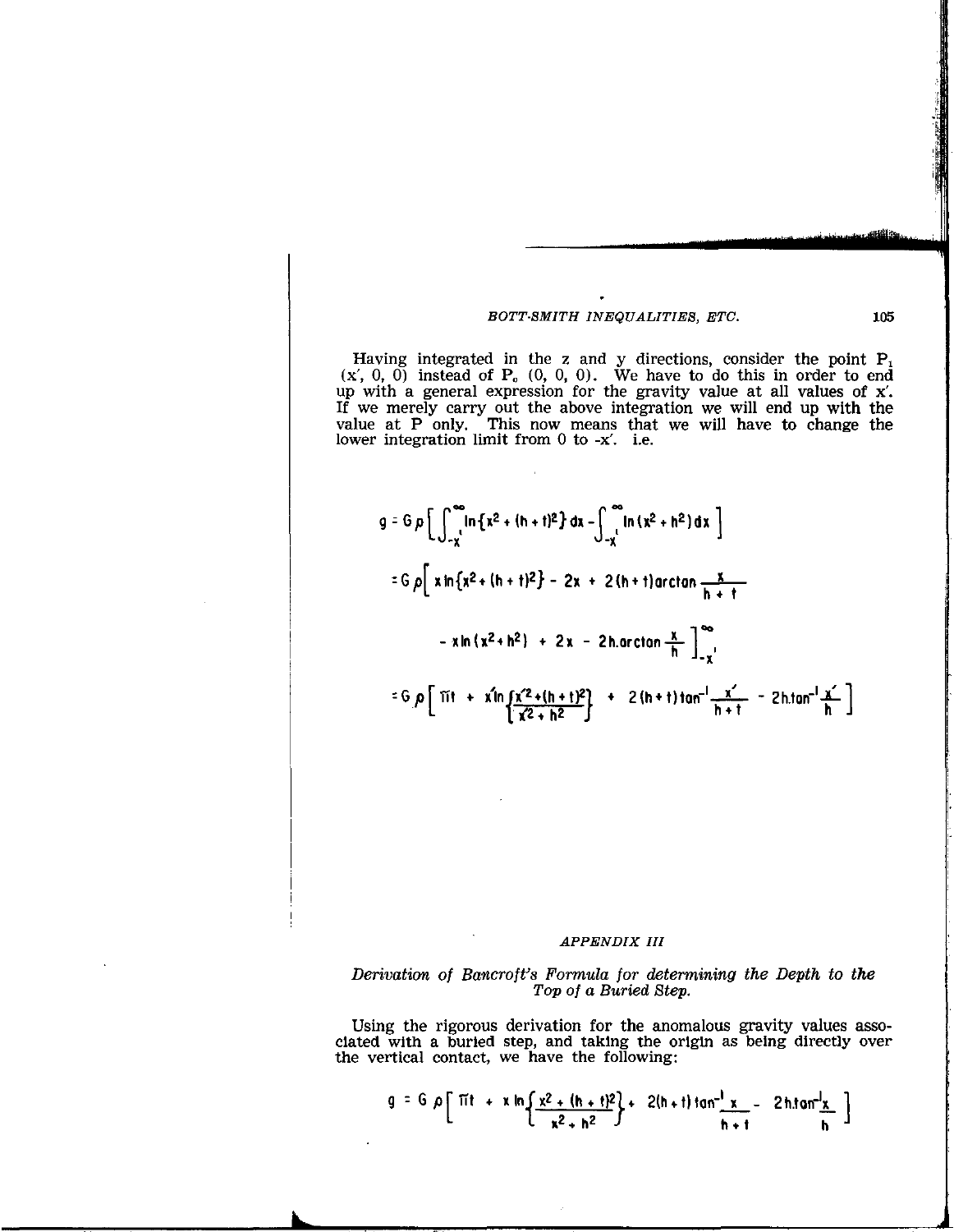Having integrated in the z and y directions, consider the point  $P_1$  $(X', 0, 0)$  instead of  $P_0$   $(0, 0, 0)$ . We have to do this in order to end up with a general expression for the gravity value at all values of  $x'$ . If we merely carry out the above integration we will end up with the value at P only. This now means that we will have to change the lower integration limit from  $0$  to  $-x'$ . i.e.

l,

$$
g = G \rho \left[ \int_{-x}^{\infty} \ln \{x^2 + (h + t)^2\} dx - \int_{-x}^{\infty} \ln (x^2 + h^2) dx \right]
$$
  
\n
$$
= G \rho \left[ x \ln \{x^2 + (h + t)^2\} - 2x + 2(h + t) \arctan \frac{x}{h + t} - x \ln (x^2 + h^2) + 2x - 2h \arctan \frac{x}{h} \right]_{-x}^{\infty}
$$
  
\n
$$
= G \rho \left[ \text{Tr} + x \ln \left( \frac{x^2 + (h + t)^2}{x^2 + h^2} \right) + 2(h + t) \tan^{-1} \frac{x^2}{h + t} - 2h \tan^{-1} \frac{x^2}{h} \right]
$$

## APPENDIX III

#### Derivation of Bancroft's Formula for determining the Depth to the Top of a Buried Step.

Using the rigorous derivation for the anomalous gravity values associated with a buried step, and taking the origin as being directly over the vertical contact, we have the following:

$$
g = G \rho \left[ \frac{\pi t}{t} + x \ln \left\{ \frac{x^2 + (h + t)^2}{x^2 + h^2} \right\} + \frac{2(h + t) \tan^{-1} x}{h + t} - \frac{2h \tan^{-1} x}{h} \right]
$$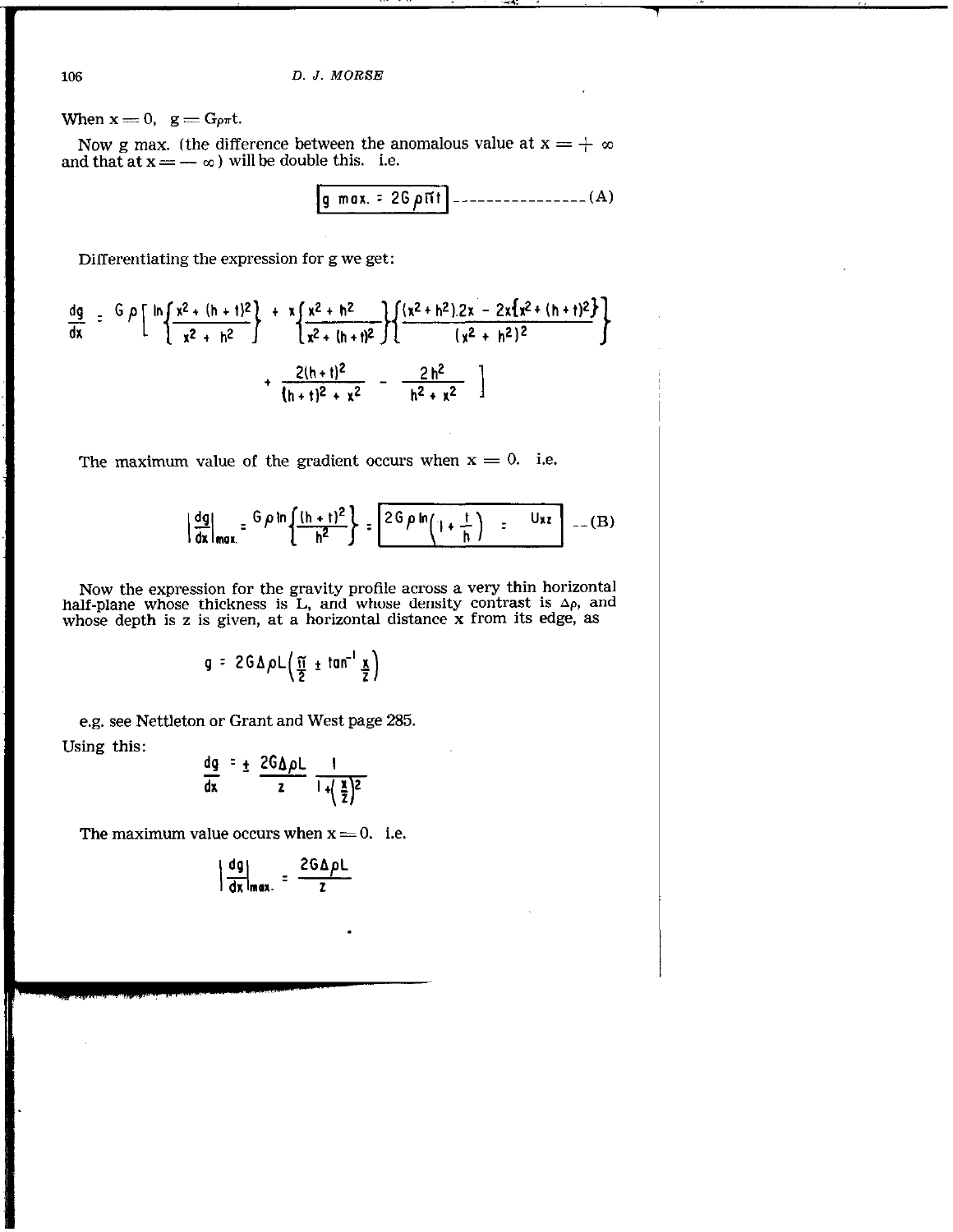When  $x = 0$ ,  $g = G_{\rho\pi}t$ .

Now g max. (the difference between the anomalous value at  ${\rm x}=+$   $\infty$ and that at  $\mathbf{x} = -\infty$  ) will be double this. i.e.

$$
g \max = 26 \rho \pi t \text{ } - \text{ } (A)
$$

Differentiating the expression for g we get:

$$
\frac{dg}{dx} = \frac{G \rho \left[ ln \left\{ \frac{x^2 + (h + t)^2}{x^2 + h^2} \right\} + \frac{x \left\{ \frac{x^2 + h^2}{x^2 + (h + t)^2} \right\} \left\{ \frac{(x^2 + h^2) . 2x - 2x \left\{ x^2 + (h + t)^2 \right\}}{(x^2 + h^2)^2} \right\} + \frac{2(h + t)^2}{(h + t)^2 + x^2} - \frac{2h^2}{h^2 + x^2} \right]}
$$

The maximum value of the gradient occurs when  $x = 0$ . i.e.

$$
\left|\frac{dg}{dx}\right|_{max} = \frac{G \rho \ln \left\{\frac{(h+t)^2}{h^2}\right\}}{2G \rho \ln \left(1+\frac{t}{h}\right)} = \frac{Uxz}{\rho} \quad (B)
$$

Now the expression for the gravity profile across a very thin horizontal half-plane whose thickness is  $L<sub>1</sub>$  and whose density contrast is  $\Delta \rho$ , and whose depth is z is given, at a horizontal distance x from its edge, as

$$
g = 2G \Delta \rho L \left( \frac{\pi}{2} \pm \tan^{-1} \frac{x}{2} \right)
$$

e.g. see Nettleton or Grant and West page 285.

Using this:

$$
\frac{dg}{dx} = \pm \frac{2G\Delta\rho L}{z} \frac{1}{1+(\frac{x}{z})^2}
$$

The maximum value occurs when  $x = 0$ . i.e.

$$
\left|\frac{dg}{dx}\right|_{max.} = \frac{2G\Delta\rho L}{z}
$$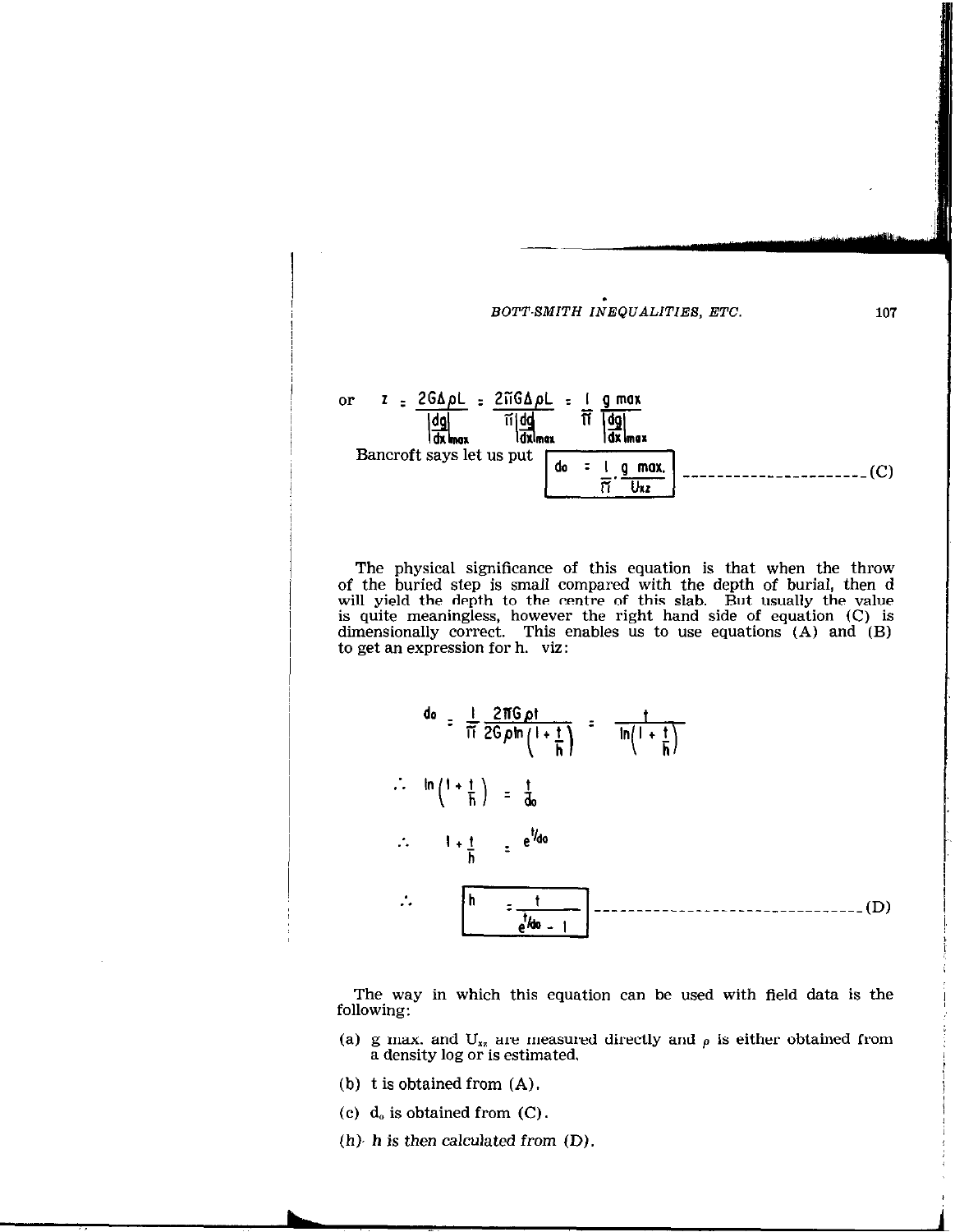

The physical significance of this equation is that when the throw of the buried step is small compared with the depth of burial, then d will yield the depth to the centre of this slab. But usually the value is quite meaningless, however the right hand side of equation (C) is dimensionally correct. This enables us to use equations (A) and (B) to get an expression for h. viz:



The way in which this equation can be used with field data is the following:

- (a) g max. and  $U_{xz}$  are measured directly and  $\rho$  is either obtained from a density log or is estimated.
- (b) t is obtained from (A).
- (c)  $d_0$  is obtained from  $(C)$ .
- $(h)$ , h is then calculated from  $(D)$ .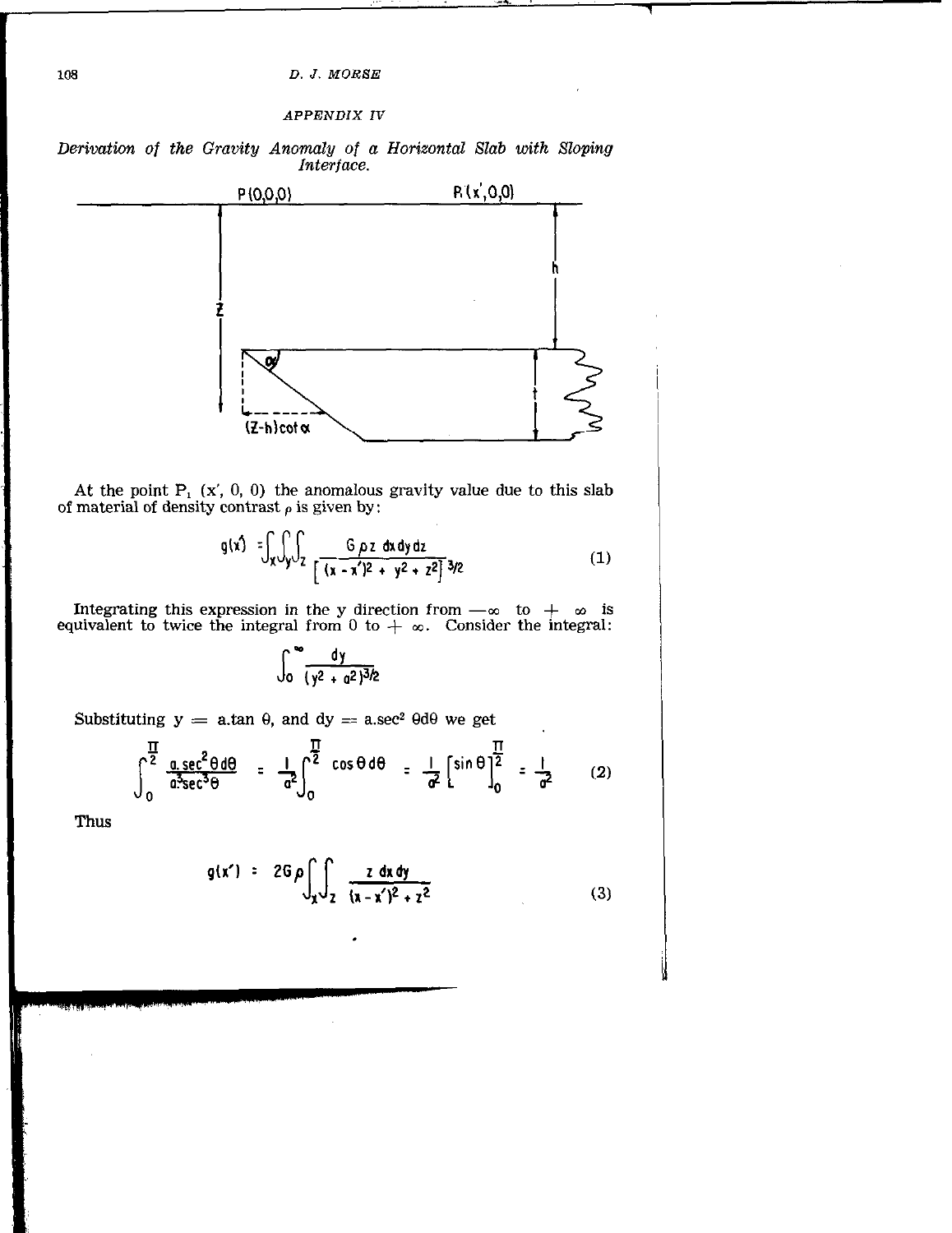## **APPENDIX IV**





At the point  $P_1$  (x', 0, 0) the anomalous gravity value due to this slab of material of density contrast  $\rho$  is given by:

$$
g(x') = \int_{x} \int_{y} \int_{Z} \frac{G \rho z dx dy dz}{[\sqrt{(x - x')^{2} + y^{2} + z^{2}]}^{3/2}}
$$
(1)

Integrating this expression in the y direction from  $-\infty$  to  $+\infty$  is equivalent to twice the integral from 0 to  $+\infty$ . Consider the integral:

$$
\int_0^\infty \frac{dy}{(y^2 + a^2)^{3/2}}
$$

Substituting  $y = a \cdot \tan \theta$ , and  $dy = a \cdot \sec^2 \theta d\theta$  we get

$$
\int_{0}^{\frac{\pi}{2}} \frac{a \sec^{2} \theta d\theta}{a^{3} \sec^{3} \theta} = \frac{1}{\sigma^{2}} \int_{0}^{\frac{\pi}{2}} \cos \theta d\theta = \frac{1}{\sigma^{2}} \left[ \sin \theta \right]_{0}^{\frac{\pi}{2}} = \frac{1}{\sigma^{2}}
$$
 (2)

Thus

$$
g(x') = 2G \rho \int_{x} \int_{z} \frac{z \, dx \, dy}{(x - x')^2 + z^2}
$$
 (3)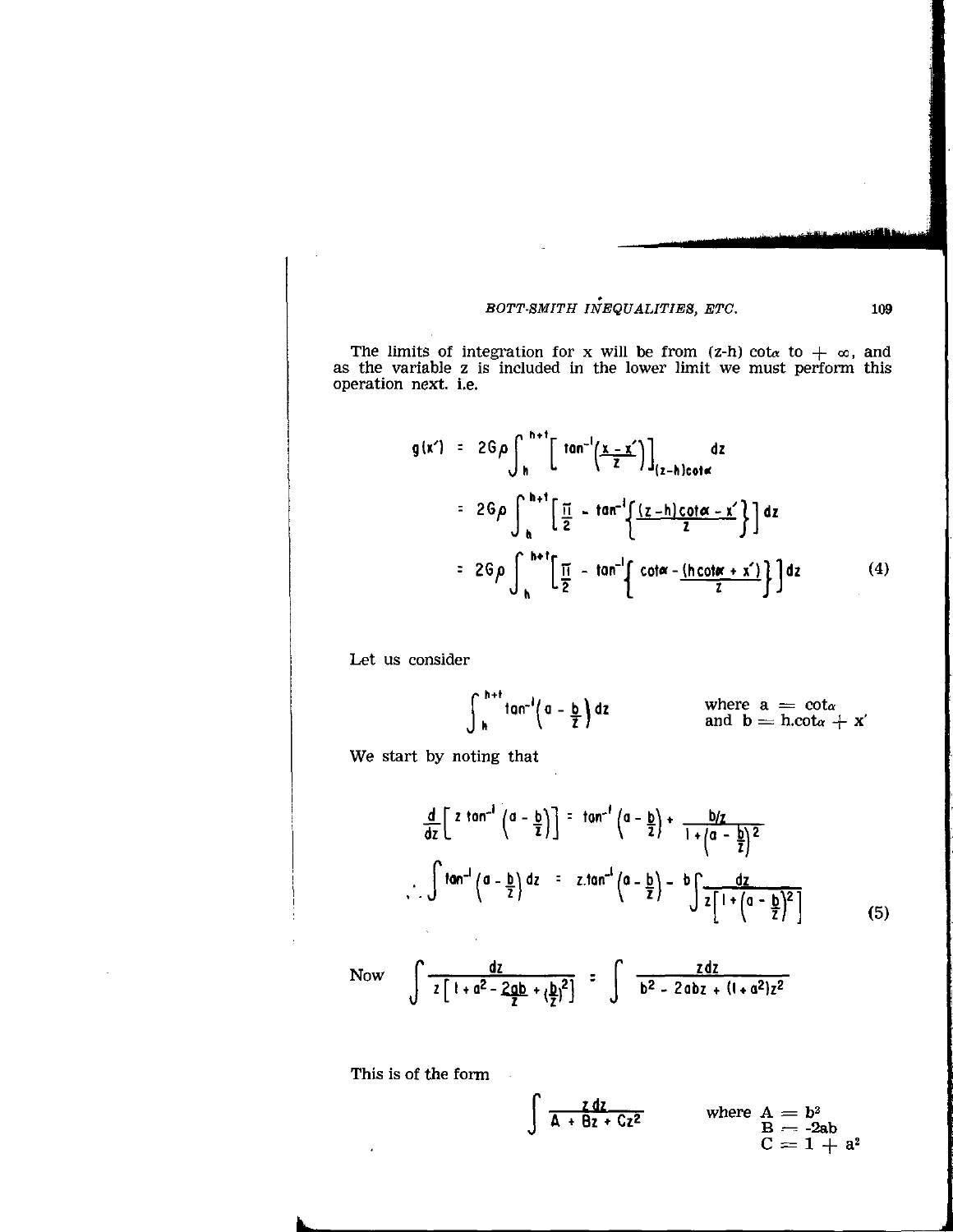The limits of integration for x will be from (z-h) cot<sub>a</sub> to  $+ \infty$ , and as the variable z is included in the lower limit we must perform this operation next. i.e.

$$
g(x') = 2G\rho \int_{h}^{h+1} \left[ \tan^{-1}\left(\frac{x-x'}{z}\right) \right]_{(z-h)\cot\alpha} dz
$$
  

$$
= 2G\rho \int_{h}^{h+1} \left[ \frac{\pi}{2} - \tan^{-1}\left\{\frac{(z-h)\cot\alpha - x'}{z}\right\} \right] dz
$$
  

$$
= 2G\rho \int_{h}^{h+1} \left[ \frac{\pi}{2} - \tan^{-1}\left\{ \cot\alpha - \frac{(h\cot\alpha + x')}{z} \right\} \right] dz
$$
 (4)

Let us consider

$$
\int_{h}^{h+t} \tan^{-1}\left(a-\frac{b}{2}\right) dz
$$
 where  $a = \cot \alpha$   
and  $b = h.\cot \alpha + x'$ 

We start by noting that

$$
\frac{d}{dz}\left[z \tan^{-1}\left(a-\frac{b}{z}\right)\right] = \tan^{-1}\left(a-\frac{b}{z}\right) + \frac{b/z}{1+\left(a-\frac{b}{z}\right)^2}
$$
\n
$$
\int \tan^{-1}\left(a-\frac{b}{z}\right) dz = z \cdot \tan^{-1}\left(a-\frac{b}{z}\right) - b \int \frac{dz}{z\left[1+\left(a-\frac{b}{z}\right)^2\right]}
$$
\n(5)

Now J dr s 2d2  $2 \int_1^2 1 + a^2 - 2ab + b^2$   $\qquad \qquad$  b<sup>2</sup> - 2abz +  $(1 + a^2)z^2$ 

This is of the form

$$
\int \frac{\zeta dz}{A + \theta z + Cz^2}
$$
 where  $A = b^2$   
  $B = -2ab$   
  $C = 1 + a^2$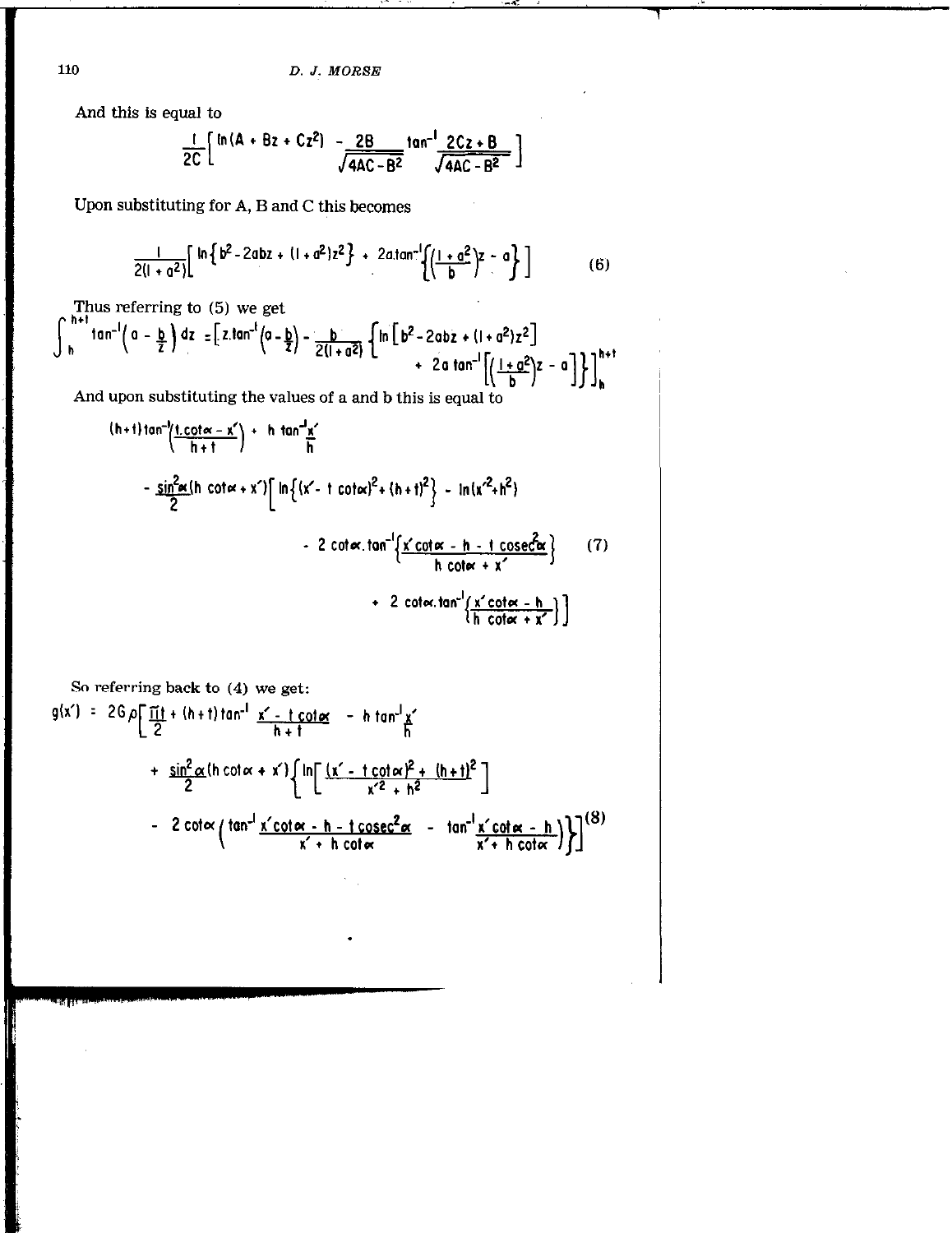And this is equal to

$$
\frac{1}{2C}\left[\ln{(A + Bz + Cz^2)} - \frac{2B}{\sqrt{4AC - B^2}}\tan^{-1}\frac{2Cz + B}{\sqrt{4AC - B^2}}\right]
$$

Upon substituting for A, B and C this becomes

$$
\frac{1}{2(l+a^2)} \left[ \ln \left\{ b^2 - 2abz + (l+a^2)z^2 \right\} + 2a \tan^{-1} \left\{ \left( \frac{l+a^2}{b} \right)^2 - a \right\} \right] \tag{6}
$$

Thus referring to  $(5)$  we get  $\overline{a}$ 

$$
\int_{h}^{+\infty} \tan^{-1}\left(a-\frac{b}{2}\right) dz = \left[z \tan^{-1}\left(a-\frac{b}{2}\right) - \frac{b}{2(1+a^2)} \left\{\ln\left[b^2-2abz+(1+a^2)z^2\right] + 2a \tan^{-1}\left[\left(\frac{1+a^2}{b}\right)z-a\right]\right\}\right]_{h}^{h+1}
$$

And upon substituting the values of a and b this is equal to

$$
\frac{(h+1)\tan^{-1}\left(\frac{t \cdot \cot \alpha - x'}{h+1}\right) + h \tan^{-1}x'}{2}
$$
\n
$$
= \frac{\sin^2 \alpha (h \cot \alpha + x')}{2} \left[ \ln \left\{ (x' - t \cot \alpha)^2 + (h+1)^2 \right\} - \ln(x'^2 + h^2) \right.
$$
\n
$$
= 2 \cot \alpha \cdot \tan^{-1}\left\{ \frac{x' \cot \alpha - h - t \csc^2 \alpha}{h \cot \alpha + x'} \right\} \qquad (7)
$$
\n
$$
+ 2 \cot \alpha \cdot \tan^{-1}\left\{ \frac{x' \cot \alpha - h}{h \cot \alpha + x'} \right\} \right]
$$

So referring back to (4) we get:  
\n
$$
g(x') = 2G\rho \left[ \frac{\Pi t}{2} + (h + t) \tan^{-1} \frac{x' - t \cot \alpha}{h + t} - h \tan^{-1} \frac{x'}{h} \right]
$$
\n
$$
+ \frac{\sin^2 \alpha}{2} (h \cot \alpha + x') \left[ \ln \left[ \frac{(x' - t \cot \alpha)^2 + (h + t)^2}{x'^2 + h^2} \right] - 2 \cot \alpha \left( \tan^{-1} \frac{x' \cot \alpha - h - t \csc^2 \alpha}{x' + h \cot \alpha} - \tan^{-1} \frac{x' \cot \alpha - h}{x' + h \cot \alpha} \right) \right]^{(8)}
$$

110

<sup>न</sup>ाना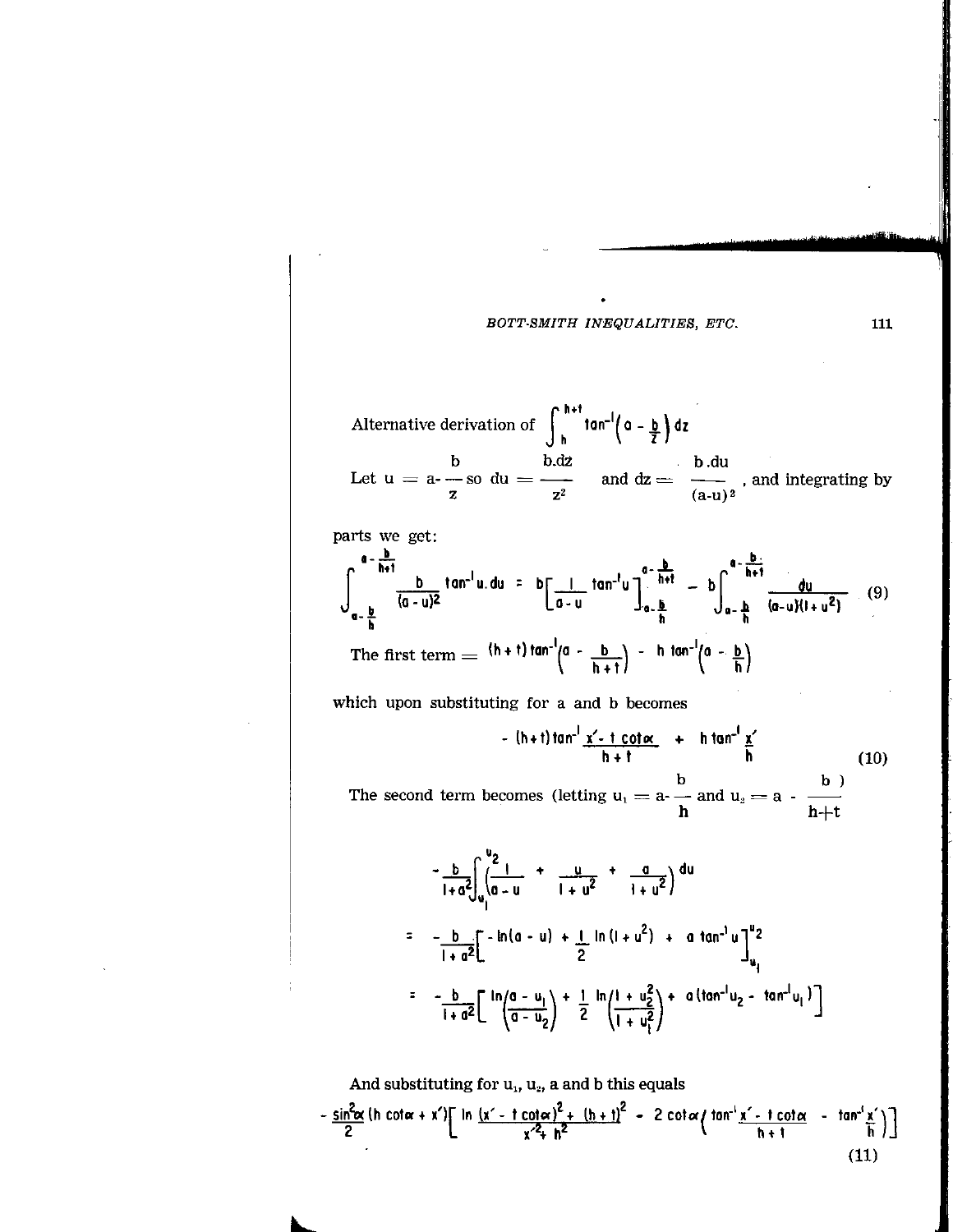Alternative derivation of 
$$
\int_{h}^{h+t} \tan^{-1}\left(a - \frac{b}{2}\right) dz
$$
  
Let  $u = a - \frac{b}{z}$  and  $du = \frac{b \cdot du}{z^2}$  and  $dz = \frac{b \cdot du}{(a-u)^2}$ , and integrating by

parts we get: 
$$
\frac{1}{2}
$$

$$
\int_{a-\frac{b}{h}}^{a-\frac{b}{h+1}} \frac{b}{(a-u)^2} \tan^{-1} u \, du = b \left[ \frac{1}{a-u} \tan^{-1} u \right]_{a-\frac{b}{h}}^{a-\frac{b}{h+1}} - b \int_{a-\frac{b}{h}}^{a-\frac{b}{h+1}} \frac{du}{(a-u)(1+u^2)} \quad (9)
$$
  
The first term =  $\frac{(h+1) \tan^{-1}(a-\frac{b}{h+1})}{(a-\frac{b}{h+1})}$  - h tan<sup>-1</sup>(a-\frac{b}{h})

which upon substituting for a and b becomes

$$
-(h+t)\tan^{-1}\frac{x'-t\cot\alpha}{h+t} + h\tan^{-1}\frac{x'}{h}
$$
 (10)

The second term becomes (letting  $u_1 = a - \frac{b}{h}$  and  $u_2 = a - \frac{b}{h+t}$ 

$$
-\frac{b}{1+a^{2}}\int_{u_{1}}^{u_{2}}\frac{1}{(a-u)} + \frac{u}{1+u^{2}} + \frac{a}{1+u^{2}}\Big) du
$$
  
=  $-\frac{b}{1+a^{2}}\Big[-\ln(a-u) + \frac{1}{2}\ln(1+u^{2}) + a \tan^{-1}u\Big]_{u_{1}}^{u_{2}}$   
=  $-\frac{b}{1+a^{2}}\Big[\frac{\ln(a-u_{1})}{(a-u_{2})} + \frac{1}{2}\frac{\ln(1+u_{2}^{2})}{(1+u_{1}^{2})} + a(\tan^{-1}u_{2} - \tan^{-1}u_{1})\Big]$ 

And substituting for  $u_1$ ,  $u_2$ , a and b this equals -  $\frac{\sin^2\alpha}{2}$  (h cotar + x')  $\left[\ln \frac{(x' - t \cot \alpha)^2 + (h + t)^2}{x'^2 + h^2} - 2 \cot \alpha \left(\tan^{-1} \frac{x' - t \cot \alpha}{h + t} - \tan^{-1} \frac{x'}{h}\right)\right]$  $(11)$